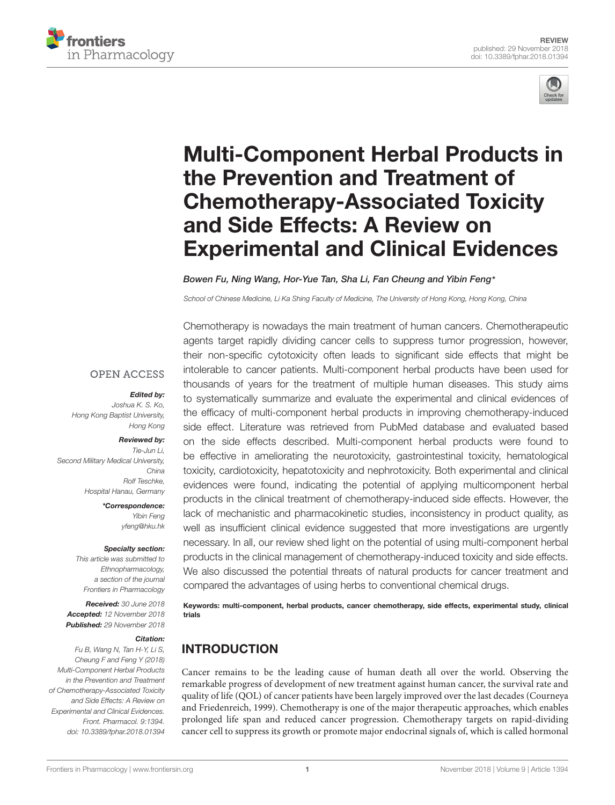



# Multi-Component Herbal Products in the Prevention and Treatment of Chemotherapy-Associated Toxicity and Side Effects: A Review on [Experimental and Clinical Evidences](https://www.frontiersin.org/articles/10.3389/fphar.2018.01394/full)

#### [Bowen Fu,](http://loop.frontiersin.org/people/582481/overview) [Ning Wang,](http://loop.frontiersin.org/people/349909/overview) [Hor-Yue Tan,](http://loop.frontiersin.org/people/568285/overview) Sha Li, Fan Cheung and [Yibin Feng](http://loop.frontiersin.org/people/347993/overview)\*

School of Chinese Medicine, Li Ka Shing Faculty of Medicine, The University of Hong Kong, Hong Kong, China

#### **OPEN ACCESS**

#### Edited by:

Joshua K. S. Ko, Hong Kong Baptist University, Hong Kong

#### Reviewed by:

Tie-Jun Li, Second Military Medical University, China Rolf Teschke, Hospital Hanau, Germany

> \*Correspondence: Yibin Feng yfeng@hku.hk

#### Specialty section:

This article was submitted to Ethnopharmacology, a section of the journal Frontiers in Pharmacology

Received: 30 June 2018 Accepted: 12 November 2018 Published: 29 November 2018

#### Citation:

Fu B, Wang N, Tan H-Y, Li S, Cheung F and Feng Y (2018) Multi-Component Herbal Products in the Prevention and Treatment of Chemotherapy-Associated Toxicity and Side Effects: A Review on Experimental and Clinical Evidences. Front. Pharmacol. 9:1394. doi: [10.3389/fphar.2018.01394](https://doi.org/10.3389/fphar.2018.01394)

Chemotherapy is nowadays the main treatment of human cancers. Chemotherapeutic agents target rapidly dividing cancer cells to suppress tumor progression, however, their non-specific cytotoxicity often leads to significant side effects that might be intolerable to cancer patients. Multi-component herbal products have been used for thousands of years for the treatment of multiple human diseases. This study aims to systematically summarize and evaluate the experimental and clinical evidences of the efficacy of multi-component herbal products in improving chemotherapy-induced side effect. Literature was retrieved from PubMed database and evaluated based on the side effects described. Multi-component herbal products were found to be effective in ameliorating the neurotoxicity, gastrointestinal toxicity, hematological toxicity, cardiotoxicity, hepatotoxicity and nephrotoxicity. Both experimental and clinical evidences were found, indicating the potential of applying multicomponent herbal products in the clinical treatment of chemotherapy-induced side effects. However, the lack of mechanistic and pharmacokinetic studies, inconsistency in product quality, as well as insufficient clinical evidence suggested that more investigations are urgently necessary. In all, our review shed light on the potential of using multi-component herbal products in the clinical management of chemotherapy-induced toxicity and side effects. We also discussed the potential threats of natural products for cancer treatment and compared the advantages of using herbs to conventional chemical drugs.

Keywords: multi-component, herbal products, cancer chemotherapy, side effects, experimental study, clinical trials

# INTRODUCTION

Cancer remains to be the leading cause of human death all over the world. Observing the remarkable progress of development of new treatment against human cancer, the survival rate and quality of life (QOL) of cancer patients have been largely improved over the last decades (Courneya and Friedenreich, 1999). Chemotherapy is one of the major therapeutic approaches, which enables prolonged life span and reduced cancer progression. Chemotherapy targets on rapid-dividing cancer cell to suppress its growth or promote major endocrinal signals of, which is called hormonal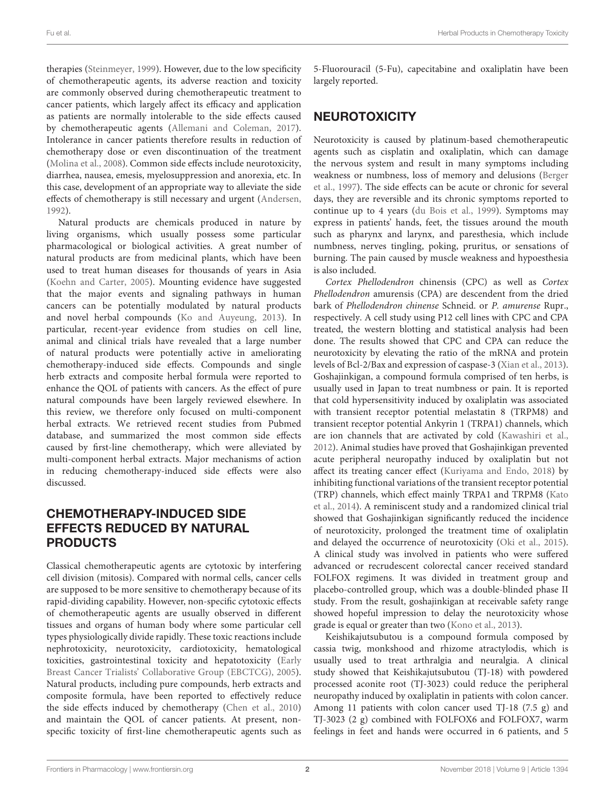therapies [\(Steinmeyer,](#page-13-0) [1999\)](#page-13-0). However, due to the low specificity of chemotherapeutic agents, its adverse reaction and toxicity are commonly observed during chemotherapeutic treatment to cancer patients, which largely affect its efficacy and application as patients are normally intolerable to the side effects caused by chemotherapeutic agents [\(Allemani and Coleman,](#page-10-0) [2017\)](#page-10-0). Intolerance in cancer patients therefore results in reduction of chemotherapy dose or even discontinuation of the treatment [\(Molina et al.,](#page-12-0) [2008\)](#page-12-0). Common side effects include neurotoxicity, diarrhea, nausea, emesis, myelosuppression and anorexia, etc. In this case, development of an appropriate way to alleviate the side effects of chemotherapy is still necessary and urgent [\(Andersen,](#page-10-1) [1992\)](#page-10-1).

Natural products are chemicals produced in nature by living organisms, which usually possess some particular pharmacological or biological activities. A great number of natural products are from medicinal plants, which have been used to treat human diseases for thousands of years in Asia [\(Koehn and Carter,](#page-12-1) [2005\)](#page-12-1). Mounting evidence have suggested that the major events and signaling pathways in human cancers can be potentially modulated by natural products and novel herbal compounds [\(Ko and Auyeung,](#page-12-2) [2013\)](#page-12-2). In particular, recent-year evidence from studies on cell line, animal and clinical trials have revealed that a large number of natural products were potentially active in ameliorating chemotherapy-induced side effects. Compounds and single herb extracts and composite herbal formula were reported to enhance the QOL of patients with cancers. As the effect of pure natural compounds have been largely reviewed elsewhere. In this review, we therefore only focused on multi-component herbal extracts. We retrieved recent studies from Pubmed database, and summarized the most common side effects caused by first-line chemotherapy, which were alleviated by multi-component herbal extracts. Major mechanisms of action in reducing chemotherapy-induced side effects were also discussed.

# CHEMOTHERAPY-INDUCED SIDE EFFECTS REDUCED BY NATURAL PRODUCTS

Classical chemotherapeutic agents are cytotoxic by interfering cell division (mitosis). Compared with normal cells, cancer cells are supposed to be more sensitive to chemotherapy because of its rapid-dividing capability. However, non-specific cytotoxic effects of chemotherapeutic agents are usually observed in different tissues and organs of human body where some particular cell types physiologically divide rapidly. These toxic reactions include nephrotoxicity, neurotoxicity, cardiotoxicity, hematological toxicities, gastrointestinal toxicity and hepatotoxicity [\(Early](#page-11-0) [Breast Cancer Trialists' Collaborative Group \(EBCTCG\),](#page-11-0) [2005\)](#page-11-0). Natural products, including pure compounds, herb extracts and composite formula, have been reported to effectively reduce the side effects induced by chemotherapy [\(Chen et al.,](#page-11-1) [2010\)](#page-11-1) and maintain the QOL of cancer patients. At present, nonspecific toxicity of first-line chemotherapeutic agents such as

5-Fluorouracil (5-Fu), capecitabine and oxaliplatin have been largely reported.

# **NEUROTOXICITY**

Neurotoxicity is caused by platinum-based chemotherapeutic agents such as cisplatin and oxaliplatin, which can damage the nervous system and result in many symptoms including weakness or numbness, loss of memory and delusions [\(Berger](#page-10-2) [et al.,](#page-10-2) [1997\)](#page-10-2). The side effects can be acute or chronic for several days, they are reversible and its chronic symptoms reported to continue up to 4 years [\(du Bois et al.,](#page-11-2) [1999\)](#page-11-2). Symptoms may express in patients' hands, feet, the tissues around the mouth such as pharynx and larynx, and paresthesia, which include numbness, nerves tingling, poking, pruritus, or sensations of burning. The pain caused by muscle weakness and hypoesthesia is also included.

Cortex Phellodendron chinensis (CPC) as well as Cortex Phellodendron amurensis (CPA) are descendent from the dried bark of Phellodendron chinense Schneid. or P. amurense Rupr., respectively. A cell study using P12 cell lines with CPC and CPA treated, the western blotting and statistical analysis had been done. The results showed that CPC and CPA can reduce the neurotoxicity by elevating the ratio of the mRNA and protein levels of Bcl-2/Bax and expression of caspase-3 [\(Xian et al.,](#page-13-1) [2013\)](#page-13-1). Goshajinkigan, a compound formula comprised of ten herbs, is usually used in Japan to treat numbness or pain. It is reported that cold hypersensitivity induced by oxaliplatin was associated with transient receptor potential melastatin 8 (TRPM8) and transient receptor potential Ankyrin 1 (TRPA1) channels, which are ion channels that are activated by cold [\(Kawashiri et al.,](#page-12-3) [2012\)](#page-12-3). Animal studies have proved that Goshajinkigan prevented acute peripheral neuropathy induced by oxaliplatin but not affect its treating cancer effect [\(Kuriyama and Endo,](#page-12-4) [2018\)](#page-12-4) by inhibiting functional variations of the transient receptor potential (TRP) channels, which effect mainly TRPA1 and TRPM8 [\(Kato](#page-12-5) [et al.,](#page-12-5) [2014\)](#page-12-5). A reminiscent study and a randomized clinical trial showed that Goshajinkigan significantly reduced the incidence of neurotoxicity, prolonged the treatment time of oxaliplatin and delayed the occurrence of neurotoxicity [\(Oki et al.,](#page-13-2) [2015\)](#page-13-2). A clinical study was involved in patients who were suffered advanced or recrudescent colorectal cancer received standard FOLFOX regimens. It was divided in treatment group and placebo-controlled group, which was a double-blinded phase II study. From the result, goshajinkigan at receivable safety range showed hopeful impression to delay the neurotoxicity whose grade is equal or greater than two [\(Kono et al.,](#page-12-6) [2013\)](#page-12-6).

Keishikajutsubutou is a compound formula composed by cassia twig, monkshood and rhizome atractylodis, which is usually used to treat arthralgia and neuralgia. A clinical study showed that Keishikajutsubutou (TJ-18) with powdered processed aconite root (TJ-3023) could reduce the peripheral neuropathy induced by oxaliplatin in patients with colon cancer. Among 11 patients with colon cancer used TJ-18 (7.5 g) and TJ-3023 (2 g) combined with FOLFOX6 and FOLFOX7, warm feelings in feet and hands were occurred in 6 patients, and 5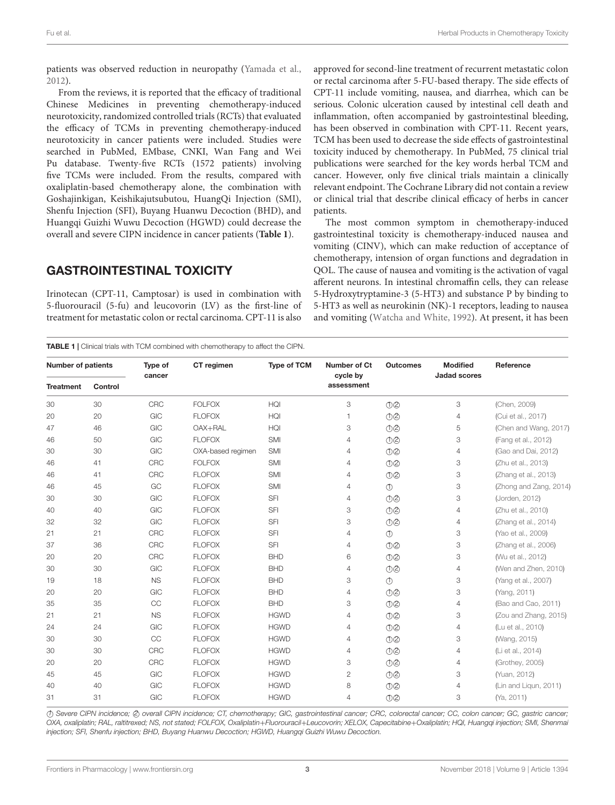patients was observed reduction in neuropathy [\(Yamada et al.,](#page-14-0) [2012\)](#page-14-0).

From the reviews, it is reported that the efficacy of traditional Chinese Medicines in preventing chemotherapy-induced neurotoxicity, randomized controlled trials (RCTs) that evaluated the efficacy of TCMs in preventing chemotherapy-induced neurotoxicity in cancer patients were included. Studies were searched in PubMed, EMbase, CNKI, Wan Fang and Wei Pu database. Twenty-five RCTs (1572 patients) involving five TCMs were included. From the results, compared with oxaliplatin-based chemotherapy alone, the combination with Goshajinkigan, Keishikajutsubutou, HuangQi Injection (SMI), Shenfu Injection (SFI), Buyang Huanwu Decoction (BHD), and Huangqi Guizhi Wuwu Decoction (HGWD) could decrease the overall and severe CIPN incidence in cancer patients (**[Table 1](#page-2-0)**).

# GASTROINTESTINAL TOXICITY

Irinotecan (CPT-11, Camptosar) is used in combination with 5-fluorouracil (5-fu) and leucovorin (LV) as the first-line of treatment for metastatic colon or rectal carcinoma. CPT-11 is also

approved for second-line treatment of recurrent metastatic colon or rectal carcinoma after 5-FU-based therapy. The side effects of CPT-11 include vomiting, nausea, and diarrhea, which can be serious. Colonic ulceration caused by intestinal cell death and inflammation, often accompanied by gastrointestinal bleeding, has been observed in combination with CPT-11. Recent years, TCM has been used to decrease the side effects of gastrointestinal toxicity induced by chemotherapy. In PubMed, 75 clinical trial publications were searched for the key words herbal TCM and cancer. However, only five clinical trials maintain a clinically relevant endpoint. The Cochrane Library did not contain a review or clinical trial that describe clinical efficacy of herbs in cancer patients.

The most common symptom in chemotherapy-induced gastrointestinal toxicity is chemotherapy-induced nausea and vomiting (CINV), which can make reduction of acceptance of chemotherapy, intension of organ functions and degradation in QOL. The cause of nausea and vomiting is the activation of vagal afferent neurons. In intestinal chromaffin cells, they can release 5-Hydroxytryptamine-3 (5-HT3) and substance P by binding to 5-HT3 as well as neurokinin (NK)-1 receptors, leading to nausea and vomiting [\(Watcha and White,](#page-13-3) [1992\)](#page-13-3). At present, it has been

<span id="page-2-0"></span>TABLE 1 | Clinical trials with TCM combined with chemotherapy to affect the CIPN.

| <b>Number of patients</b> |         | Type of<br>cancer | CT regimen        | <b>Type of TCM</b> | Number of Ct<br>cycle by | <b>Outcomes</b> | <b>Modified</b><br><b>Jadad scores</b> | Reference              |  |
|---------------------------|---------|-------------------|-------------------|--------------------|--------------------------|-----------------|----------------------------------------|------------------------|--|
| <b>Treatment</b>          | Control |                   |                   |                    | assessment               |                 |                                        |                        |  |
| 30                        | 30      | CRC               | <b>FOLFOX</b>     | HQI                | 3                        | O(2)            | 3                                      | (Chen, 2009)           |  |
| 20                        | 20      | GIC               | <b>FLOFOX</b>     | HQI                | 1                        | (1)             | 4                                      | (Cui et al., 2017)     |  |
| 47                        | 46      | GIC               | OAX+RAL           | HQI                | 3                        | O(2)            | 5                                      | (Chen and Wang, 2017)  |  |
| 46                        | 50      | GIC               | <b>FLOFOX</b>     | SMI                | 4                        | 02              | 3                                      | (Fang et al., 2012)    |  |
| 30                        | 30      | GIC               | OXA-based regimen | SMI                | 4                        | O(2)            | 4                                      | (Gao and Dai, 2012)    |  |
| 46                        | 41      | CRC               | <b>FOLFOX</b>     | SMI                | 4                        | $\circledcirc$  | 3                                      | (Zhu et al., 2013)     |  |
| 46                        | 41      | <b>CRC</b>        | <b>FLOFOX</b>     | SMI                | 4                        | O(2)            | 3                                      | (Zhang et al., 2013)   |  |
| 46                        | 45      | GC                | <b>FLOFOX</b>     | SMI                | 4                        | $\circledcirc$  | 3                                      | (Zhong and Zang, 2014) |  |
| 30                        | 30      | GIC               | <b>FLOFOX</b>     | SFI                | 4                        | $\circledcirc$  | 3                                      | (Jorden, 2012)         |  |
| 40                        | 40      | GIC               | <b>FLOFOX</b>     | SFI                | 3                        | $\circledcirc$  | 4                                      | (Zhu et al., 2010)     |  |
| 32                        | 32      | GIC               | <b>FLOFOX</b>     | SFI                | 3                        | O(2)            | 4                                      | (Zhang et al., 2014)   |  |
| 21                        | 21      | <b>CRC</b>        | <b>FLOFOX</b>     | SFI                | 4                        | $\circled{0}$   | 3                                      | (Yao et al., 2009)     |  |
| 37                        | 36      | <b>CRC</b>        | <b>FLOFOX</b>     | <b>SFI</b>         | 4                        | $\circledcirc$  | 3                                      | (Zhang et al., 2006)   |  |
| 20                        | 20      | <b>CRC</b>        | <b>FLOFOX</b>     | <b>BHD</b>         | 6                        | $\circledcirc$  | 3                                      | (Wu et al., 2012)      |  |
| 30                        | 30      | GIC               | <b>FLOFOX</b>     | <b>BHD</b>         | 4                        | O(2)            | 4                                      | (Wen and Zhen, 2010)   |  |
| 19                        | 18      | <b>NS</b>         | <b>FLOFOX</b>     | <b>BHD</b>         | 3                        | $\circledcirc$  | 3                                      | (Yang et al., 2007)    |  |
| 20                        | 20      | GIC               | <b>FLOFOX</b>     | <b>BHD</b>         | 4                        | $\circledcirc$  | 3                                      | (Yang, 2011)           |  |
| 35                        | 35      | CC                | <b>FLOFOX</b>     | <b>BHD</b>         | 3                        | O(2)            | 4                                      | (Bao and Cao, 2011)    |  |
| 21                        | 21      | <b>NS</b>         | <b>FLOFOX</b>     | <b>HGWD</b>        | 4                        | O(2)            | 3                                      | (Zou and Zhang, 2015)  |  |
| 24                        | 24      | GIC               | <b>FLOFOX</b>     | <b>HGWD</b>        | 4                        | O(2)            | 4                                      | (Lu et al., 2010)      |  |
| 30                        | 30      | CC                | <b>FLOFOX</b>     | <b>HGWD</b>        | 4                        | 02              | 3                                      | (Wang, 2015)           |  |
| 30                        | 30      | <b>CRC</b>        | <b>FLOFOX</b>     | <b>HGWD</b>        | 4                        | O(2)            | 4                                      | (Li et al., 2014)      |  |
| 20                        | 20      | CRC               | <b>FLOFOX</b>     | <b>HGWD</b>        | 3                        | $\circledcirc$  | 4                                      | (Grothey, 2005)        |  |
| 45                        | 45      | GIC               | <b>FLOFOX</b>     | <b>HGWD</b>        | $\overline{c}$           | O(2)            | 3                                      | (Yuan, 2012)           |  |
| 40                        | 40      | GIC               | <b>FLOFOX</b>     | <b>HGWD</b>        | 8                        | O(2)            | 4                                      | (Lin and Ligun, 2011)  |  |
| 31                        | 31      | GIC               | <b>FLOFOX</b>     | <b>HGWD</b>        | 4                        | O(2)            | 3                                      | (Ya, 2011)             |  |

 1 Severe CIPN incidence; 2 overall CIPN incidence; CT, chemotherapy; GIC, gastrointestinal cancer; CRC, colorectal cancer; CC, colon cancer; GC, gastric cancer; OXA, oxaliplatin; RAL, raltitrexed; NS, not stated; FOLFOX, Oxaliplatin+Fluorouracil+Leucovorin; XELOX, Capecitabine+Oxaliplatin; HQI, Huangqi injection; SMI, Shenmai injection; SFI, Shenfu injection; BHD, Buyang Huanwu Decoction; HGWD, Huangqi Guizhi Wuwu Decoction.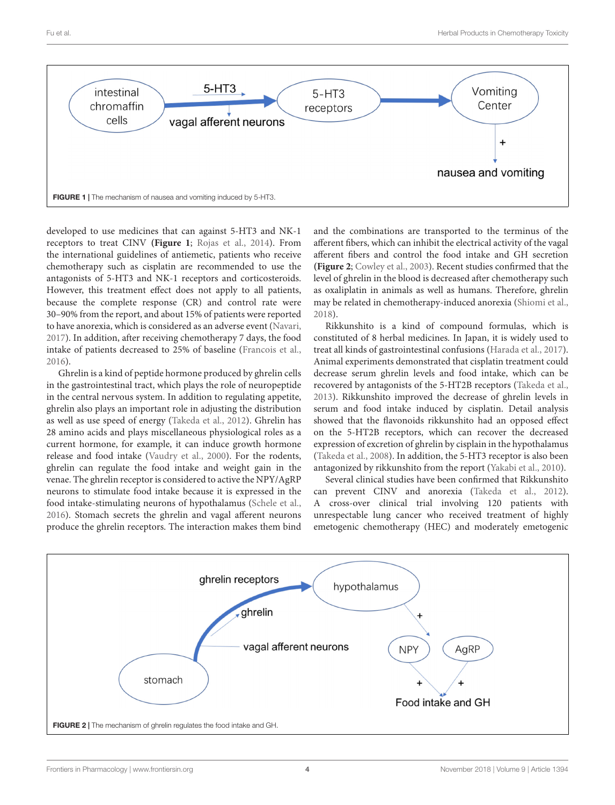

<span id="page-3-0"></span>developed to use medicines that can against 5-HT3 and NK-1 receptors to treat CINV **[\(Figure 1](#page-3-0)**; [Rojas et al.,](#page-13-7) [2014\)](#page-13-7). From the international guidelines of antiemetic, patients who receive chemotherapy such as cisplatin are recommended to use the antagonists of 5-HT3 and NK-1 receptors and corticosteroids. However, this treatment effect does not apply to all patients, because the complete response (CR) and control rate were 30–90% from the report, and about 15% of patients were reported to have anorexia, which is considered as an adverse event [\(Navari,](#page-12-10) [2017\)](#page-12-10). In addition, after receiving chemotherapy 7 days, the food intake of patients decreased to 25% of baseline [\(Francois et al.,](#page-11-10) [2016\)](#page-11-10).

Ghrelin is a kind of peptide hormone produced by ghrelin cells in the gastrointestinal tract, which plays the role of neuropeptide in the central nervous system. In addition to regulating appetite, ghrelin also plays an important role in adjusting the distribution as well as use speed of energy [\(Takeda et al.,](#page-13-8) [2012\)](#page-13-8). Ghrelin has 28 amino acids and plays miscellaneous physiological roles as a current hormone, for example, it can induce growth hormone release and food intake [\(Vaudry et al.,](#page-13-9) [2000\)](#page-13-9). For the rodents, ghrelin can regulate the food intake and weight gain in the venae. The ghrelin receptor is considered to active the NPY/AgRP neurons to stimulate food intake because it is expressed in the food intake-stimulating neurons of hypothalamus [\(Schele et al.,](#page-13-10) [2016\)](#page-13-10). Stomach secrets the ghrelin and vagal afferent neurons produce the ghrelin receptors. The interaction makes them bind

and the combinations are transported to the terminus of the afferent fibers, which can inhibit the electrical activity of the vagal afferent fibers and control the food intake and GH secretion **[\(Figure 2](#page-3-1)**; [Cowley et al.,](#page-11-11) [2003\)](#page-11-11). Recent studies confirmed that the level of ghrelin in the blood is decreased after chemotherapy such as oxaliplatin in animals as well as humans. Therefore, ghrelin may be related in chemotherapy-induced anorexia [\(Shiomi et al.,](#page-13-11) [2018\)](#page-13-11).

Rikkunshito is a kind of compound formulas, which is constituted of 8 herbal medicines. In Japan, it is widely used to treat all kinds of gastrointestinal confusions [\(Harada et al.,](#page-11-12) [2017\)](#page-11-12). Animal experiments demonstrated that cisplatin treatment could decrease serum ghrelin levels and food intake, which can be recovered by antagonists of the 5-HT2B receptors [\(Takeda et al.,](#page-13-12) [2013\)](#page-13-12). Rikkunshito improved the decrease of ghrelin levels in serum and food intake induced by cisplatin. Detail analysis showed that the flavonoids rikkunshito had an opposed effect on the 5-HT2B receptors, which can recover the decreased expression of excretion of ghrelin by cisplain in the hypothalamus [\(Takeda et al.,](#page-13-13) [2008\)](#page-13-13). In addition, the 5-HT3 receptor is also been antagonized by rikkunshito from the report [\(Yakabi et al.,](#page-14-13) [2010\)](#page-14-13).

Several clinical studies have been confirmed that Rikkunshito can prevent CINV and anorexia [\(Takeda et al.,](#page-13-8) [2012\)](#page-13-8). A cross-over clinical trial involving 120 patients with unrespectable lung cancer who received treatment of highly emetogenic chemotherapy (HEC) and moderately emetogenic

<span id="page-3-1"></span>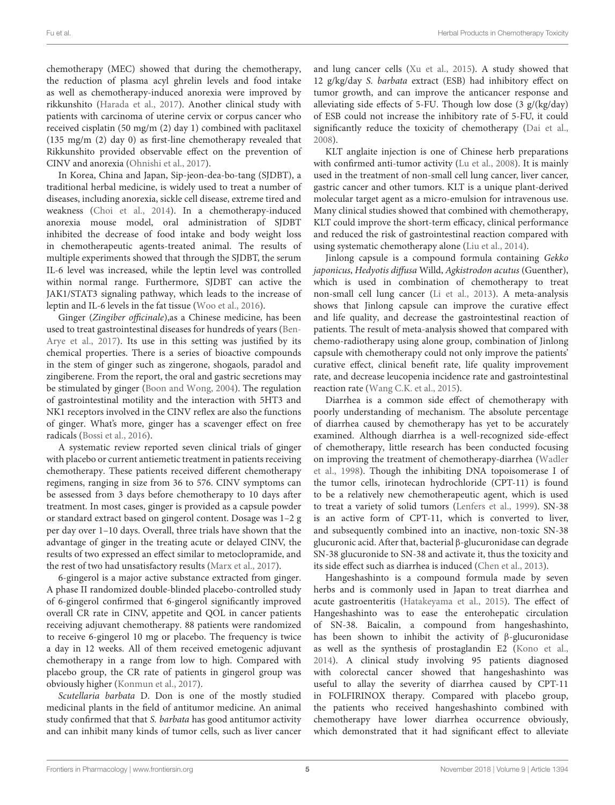chemotherapy (MEC) showed that during the chemotherapy, the reduction of plasma acyl ghrelin levels and food intake as well as chemotherapy-induced anorexia were improved by rikkunshito [\(Harada et al.,](#page-11-12) [2017\)](#page-11-12). Another clinical study with patients with carcinoma of uterine cervix or corpus cancer who received cisplatin (50 mg/m (2) day 1) combined with paclitaxel (135 mg/m (2) day 0) as first-line chemotherapy revealed that Rikkunshito provided observable effect on the prevention of CINV and anorexia [\(Ohnishi et al.,](#page-13-14) [2017\)](#page-13-14).

In Korea, China and Japan, Sip-jeon-dea-bo-tang (SJDBT), a traditional herbal medicine, is widely used to treat a number of diseases, including anorexia, sickle cell disease, extreme tired and weakness [\(Choi et al.,](#page-11-13) [2014\)](#page-11-13). In a chemotherapy-induced anorexia mouse model, oral administration of SJDBT inhibited the decrease of food intake and body weight loss in chemotherapeutic agents-treated animal. The results of multiple experiments showed that through the SJDBT, the serum IL-6 level was increased, while the leptin level was controlled within normal range. Furthermore, SJDBT can active the JAK1/STAT3 signaling pathway, which leads to the increase of leptin and IL-6 levels in the fat tissue [\(Woo et al.,](#page-13-15) [2016\)](#page-13-15).

Ginger (Zingiber officinale),as a Chinese medicine, has been used to treat gastrointestinal diseases for hundreds of years [\(Ben-](#page-10-4)[Arye et al.,](#page-10-4) [2017\)](#page-10-4). Its use in this setting was justified by its chemical properties. There is a series of bioactive compounds in the stem of ginger such as zingerone, shogaols, paradol and zingiberene. From the report, the oral and gastric secretions may be stimulated by ginger [\(Boon and Wong,](#page-10-5) [2004\)](#page-10-5). The regulation of gastrointestinal motility and the interaction with 5HT3 and NK1 receptors involved in the CINV reflex are also the functions of ginger. What's more, ginger has a scavenger effect on free radicals [\(Bossi et al.,](#page-10-6) [2016\)](#page-10-6).

A systematic review reported seven clinical trials of ginger with placebo or current antiemetic treatment in patients receiving chemotherapy. These patients received different chemotherapy regimens, ranging in size from 36 to 576. CINV symptoms can be assessed from 3 days before chemotherapy to 10 days after treatment. In most cases, ginger is provided as a capsule powder or standard extract based on gingerol content. Dosage was 1–2 g per day over 1–10 days. Overall, three trials have shown that the advantage of ginger in the treating acute or delayed CINV, the results of two expressed an effect similar to metoclopramide, and the rest of two had unsatisfactory results [\(Marx et al.,](#page-12-11) [2017\)](#page-12-11).

6-gingerol is a major active substance extracted from ginger. A phase II randomized double-blinded placebo-controlled study of 6-gingerol confirmed that 6-gingerol significantly improved overall CR rate in CINV, appetite and QOL in cancer patients receiving adjuvant chemotherapy. 88 patients were randomized to receive 6-gingerol 10 mg or placebo. The frequency is twice a day in 12 weeks. All of them received emetogenic adjuvant chemotherapy in a range from low to high. Compared with placebo group, the CR rate of patients in gingerol group was obviously higher [\(Konmun et al.,](#page-12-12) [2017\)](#page-12-12).

Scutellaria barbata D. Don is one of the mostly studied medicinal plants in the field of antitumor medicine. An animal study confirmed that that S. barbata has good antitumor activity and can inhibit many kinds of tumor cells, such as liver cancer

and lung cancer cells [\(Xu et al.,](#page-13-16) [2015\)](#page-13-16). A study showed that 12 g/kg/day S. barbata extract (ESB) had inhibitory effect on tumor growth, and can improve the anticancer response and alleviating side effects of 5-FU. Though low dose (3 g/(kg/day) of ESB could not increase the inhibitory rate of 5-FU, it could significantly reduce the toxicity of chemotherapy [\(Dai et al.,](#page-11-14) [2008\)](#page-11-14).

KLT anglaite injection is one of Chinese herb preparations with confirmed anti-tumor activity [\(Lu et al.,](#page-12-13) [2008\)](#page-12-13). It is mainly used in the treatment of non-small cell lung cancer, liver cancer, gastric cancer and other tumors. KLT is a unique plant-derived molecular target agent as a micro-emulsion for intravenous use. Many clinical studies showed that combined with chemotherapy, KLT could improve the short-term efficacy, clinical performance and reduced the risk of gastrointestinal reaction compared with using systematic chemotherapy alone [\(Liu et al.,](#page-12-14) [2014\)](#page-12-14).

Jinlong capsule is a compound formula containing Gekko japonicus, Hedyotis diffusa Willd, Agkistrodon acutus (Guenther), which is used in combination of chemotherapy to treat non-small cell lung cancer [\(Li et al.,](#page-12-15) [2013\)](#page-12-15). A meta-analysis shows that Jinlong capsule can improve the curative effect and life quality, and decrease the gastrointestinal reaction of patients. The result of meta-analysis showed that compared with chemo-radiotherapy using alone group, combination of Jinlong capsule with chemotherapy could not only improve the patients' curative effect, clinical benefit rate, life quality improvement rate, and decrease leucopenia incidence rate and gastrointestinal reaction rate [\(Wang C.K. et al.,](#page-13-17) [2015\)](#page-13-17).

Diarrhea is a common side effect of chemotherapy with poorly understanding of mechanism. The absolute percentage of diarrhea caused by chemotherapy has yet to be accurately examined. Although diarrhea is a well-recognized side-effect of chemotherapy, little research has been conducted focusing on improving the treatment of chemotherapy-diarrhea [\(Wadler](#page-13-18) [et al.,](#page-13-18) [1998\)](#page-13-18). Though the inhibiting DNA topoisomerase I of the tumor cells, irinotecan hydrochloride (CPT-11) is found to be a relatively new chemotherapeutic agent, which is used to treat a variety of solid tumors [\(Lenfers et al.,](#page-12-16) [1999\)](#page-12-16). SN-38 is an active form of CPT-11, which is converted to liver, and subsequently combined into an inactive, non-toxic SN-38 glucuronic acid. After that, bacterial β-glucuronidase can degrade SN-38 glucuronide to SN-38 and activate it, thus the toxicity and its side effect such as diarrhea is induced [\(Chen et al.,](#page-11-15) [2013\)](#page-11-15).

Hangeshashinto is a compound formula made by seven herbs and is commonly used in Japan to treat diarrhea and acute gastroenteritis [\(Hatakeyama et al.,](#page-11-16) [2015\)](#page-11-16). The effect of Hangeshashinto was to ease the enterohepatic circulation of SN-38. Baicalin, a compound from hangeshashinto, has been shown to inhibit the activity of β-glucuronidase as well as the synthesis of prostaglandin E2 [\(Kono et al.,](#page-12-17) [2014\)](#page-12-17). A clinical study involving 95 patients diagnosed with colorectal cancer showed that hangeshashinto was useful to allay the severity of diarrhea caused by CPT-11 in FOLFIRINOX therapy. Compared with placebo group, the patients who received hangeshashinto combined with chemotherapy have lower diarrhea occurrence obviously, which demonstrated that it had significant effect to alleviate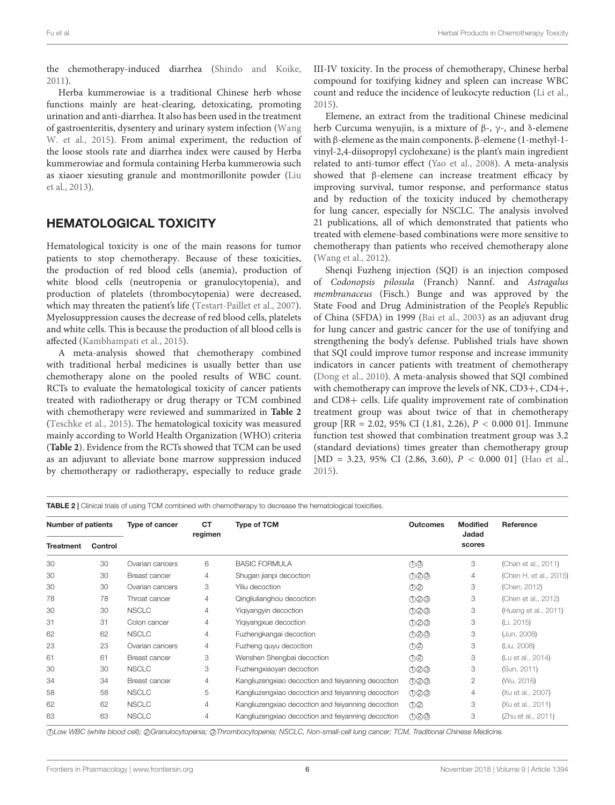the chemotherapy-induced diarrhea [\(Shindo and Koike,](#page-13-19) [2011\)](#page-13-19).

Herba kummerowiae is a traditional Chinese herb whose functions mainly are heat-clearing, detoxicating, promoting urination and anti-diarrhea. It also has been used in the treatment of gastroenteritis, dysentery and urinary system infection [\(Wang](#page-13-20) [W. et al.,](#page-13-20) [2015\)](#page-13-20). From animal experiment, the reduction of the loose stools rate and diarrhea index were caused by Herba kummerowiae and formula containing Herba kummerowia such as xiaoer xiesuting granule and montmorillonite powder [\(Liu](#page-12-18) [et al.,](#page-12-18) [2013\)](#page-12-18).

### HEMATOLOGICAL TOXICITY

Hematological toxicity is one of the main reasons for tumor patients to stop chemotherapy. Because of these toxicities, the production of red blood cells (anemia), production of white blood cells (neutropenia or granulocytopenia), and production of platelets (thrombocytopenia) were decreased, which may threaten the patient's life [\(Testart-Paillet et al.,](#page-13-21) [2007\)](#page-13-21). Myelosuppression causes the decrease of red blood cells, platelets and white cells. This is because the production of all blood cells is affected [\(Kambhampati et al.,](#page-12-19) [2015\)](#page-12-19).

A meta-analysis showed that chemotherapy combined with traditional herbal medicines is usually better than use chemotherapy alone on the pooled results of WBC count. RCTs to evaluate the hematological toxicity of cancer patients treated with radiotherapy or drug therapy or TCM combined with chemotherapy were reviewed and summarized in **[Table 2](#page-5-0)** [\(Teschke et al.,](#page-13-22) [2015\)](#page-13-22). The hematological toxicity was measured mainly according to World Health Organization (WHO) criteria (**[Table 2](#page-5-0)**). Evidence from the RCTs showed that TCM can be used as an adjuvant to alleviate bone marrow suppression induced by chemotherapy or radiotherapy, especially to reduce grade III-IV toxicity. In the process of chemotherapy, Chinese herbal compound for toxifying kidney and spleen can increase WBC count and reduce the incidence of leukocyte reduction [\(Li et al.,](#page-12-20) [2015\)](#page-12-20).

Elemene, an extract from the traditional Chinese medicinal herb Curcuma wenyujin, is a mixture of β-, γ-, and δ-elemene with β-elemene as the main components. β-elemene (1-methyl-1 vinyl-2,4-diisopropyl cyclohexane) is the plant's main ingredient related to anti-tumor effect [\(Yao et al.,](#page-14-14) [2008\)](#page-14-14). A meta-analysis showed that β-elemene can increase treatment efficacy by improving survival, tumor response, and performance status and by reduction of the toxicity induced by chemotherapy for lung cancer, especially for NSCLC. The analysis involved 21 publications, all of which demonstrated that patients who treated with elemene-based combinations were more sensitive to chemotherapy than patients who received chemotherapy alone [\(Wang et al.,](#page-13-23) [2012\)](#page-13-23).

Shenqi Fuzheng injection (SQI) is an injection composed of Codonopsis pilosula (Franch) Nannf. and Astragalus membranaceus (Fisch.) Bunge and was approved by the State Food and Drug Administration of the People's Republic of China (SFDA) in 1999 [\(Bai et al.,](#page-10-7) [2003\)](#page-10-7) as an adjuvant drug for lung cancer and gastric cancer for the use of tonifying and strengthening the body's defense. Published trials have shown that SQI could improve tumor response and increase immunity indicators in cancer patients with treatment of chemotherapy [\(Dong et al.,](#page-11-17) [2010\)](#page-11-17). A meta-analysis showed that SQI combined with chemotherapy can improve the levels of NK, CD3+, CD4+, and CD8+ cells. Life quality improvement rate of combination treatment group was about twice of that in chemotherapy group  $[RR = 2.02, 95\% \text{ CI } (1.81, 2.26), P < 0.000 01]$ . Immune function test showed that combination treatment group was 3.2 (standard deviations) times greater than chemotherapy group [MD = 3.23, 95% CI (2.86, 3.60),  $P < 0.000$  01] [\(Hao et al.,](#page-11-18) [2015\)](#page-11-18).

| <b>IADLE Z</b>   Official trials of using TOM Combined With Grienfolderapy to decrease the hematological toxicities. |         |                      |               |                                                    |                 |                          |                        |  |
|----------------------------------------------------------------------------------------------------------------------|---------|----------------------|---------------|----------------------------------------------------|-----------------|--------------------------|------------------------|--|
| <b>Number of patients</b>                                                                                            |         | Type of cancer       | СT<br>regimen | <b>Type of TCM</b>                                 | <b>Outcomes</b> | <b>Modified</b><br>Jadad | Reference              |  |
| <b>Treatment</b>                                                                                                     | Control |                      |               |                                                    |                 | scores                   |                        |  |
| 30                                                                                                                   | 30      | Ovarian cancers      | 6             | <b>BASIC FORMULA</b>                               | $\circledcirc$  | 3                        | (Chan et al., 2011)    |  |
| 30                                                                                                                   | 30      | Breast cancer        | 4             | Shugan jianpi decoction                            | 000             | 4                        | (Chen H. et al., 2015) |  |
| 30                                                                                                                   | 30      | Ovarian cancers      | 3             | Yiliu decoction                                    | OQ              | 3                        | (Chen, 2012)           |  |
| 78                                                                                                                   | 78      | Throat cancer        | 4             | Qingliulianghou decoction                          | 000             | 3                        | (Chen et al., 2012)    |  |
| 30                                                                                                                   | 30      | <b>NSCLC</b>         | 4             | Yigiyangyin decoction                              | 000             | 3                        | (Huang et al., 2011)   |  |
| 31                                                                                                                   | 31      | Colon cancer         | 4             | Yigiyangxue decoction                              | 000             | 3                        | (Li, 2015)             |  |
| 62                                                                                                                   | 62      | <b>NSCLC</b>         | 4             | Fuzhengkangai decoction                            | 000             | 3                        | (Jun, 2008)            |  |
| 23                                                                                                                   | 23      | Ovarian cancers      | 4             | Fuzheng quyu decoction                             | $\circledcirc$  | 3                        | (Liu, 2008)            |  |
| 61                                                                                                                   | 61      | <b>Breast cancer</b> | 3             | Wenshen Shengbai decoction                         | $\circledcirc$  | 3                        | (Lu et al., 2014)      |  |
| 30                                                                                                                   | 30      | <b>NSCLC</b>         | 3             | Fuzhengxiaoyan decoction                           | 023             | 3                        | (Sun, 2011)            |  |
| 34                                                                                                                   | 34      | <b>Breast cancer</b> | 4             | Kangliuzengxiao decoction and feiyanning decoction | 000             | $\overline{c}$           | (Wu, 2016)             |  |
| 58                                                                                                                   | 58      | <b>NSCLC</b>         | 5             | Kangliuzengxiao decoction and feiyanning decoction | 000             | 4                        | (Xu et al., 2007)      |  |
| 62                                                                                                                   | 62      | <b>NSCLC</b>         | 4             | Kangliuzengxiao decoction and feiyanning decoction | OQ              | 3                        | (Xu et al., 2011)      |  |
| 63                                                                                                                   | 63      | <b>NSCLC</b>         | 4             | Kangliuzengxiao decoction and feiyanning decoction | 000             | 3                        | (Zhu et al., 2011)     |  |

<span id="page-5-0"></span>TABLE 2 | Clinical trials of using TCM combined with chemotherapy

1 Low WBC (white blood cell); 2 Granulocytopenia; 3 Thrombocytopenia; NSCLC, Non-small-cell lung cancer; TCM, Traditional Chinese Medicine.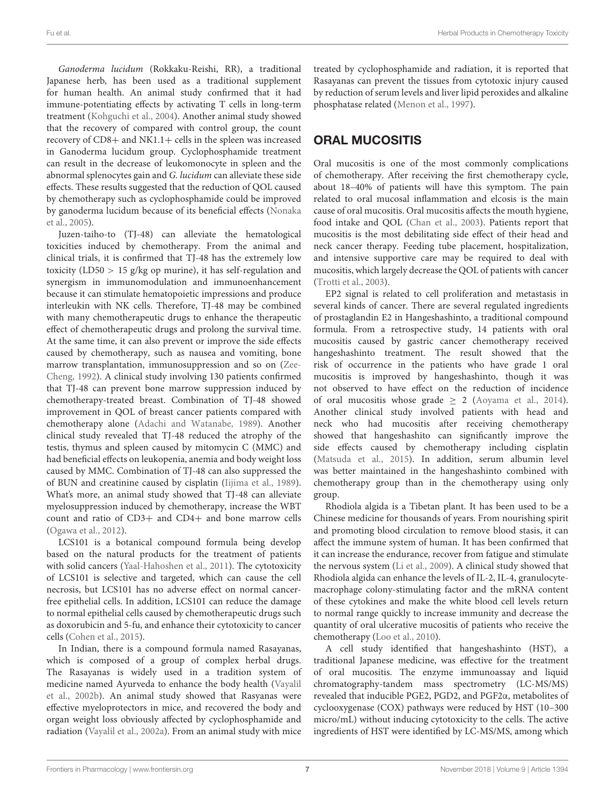Ganoderma lucidum (Rokkaku-Reishi, RR), a traditional Japanese herb, has been used as a traditional supplement for human health. An animal study confirmed that it had immune-potentiating effects by activating T cells in long-term treatment [\(Kohguchi et al.,](#page-12-24) [2004\)](#page-12-24). Another animal study showed that the recovery of compared with control group, the count recovery of CD8+ and NK1.1+ cells in the spleen was increased in Ganoderma lucidum group. Cyclophosphamide treatment can result in the decrease of leukomonocyte in spleen and the abnormal splenocytes gain and G. lucidum can alleviate these side effects. These results suggested that the reduction of QOL caused by chemotherapy such as cyclophosphamide could be improved by ganoderma lucidum because of its beneficial effects [\(Nonaka](#page-12-25) [et al.,](#page-12-25) [2005\)](#page-12-25).

Juzen-taiho-to (TJ-48) can alleviate the hematological toxicities induced by chemotherapy. From the animal and clinical trials, it is confirmed that TJ-48 has the extremely low toxicity (LD50  $> 15$  g/kg op murine), it has self-regulation and synergism in immunomodulation and immunoenhancement because it can stimulate hematopoietic impressions and produce interleukin with NK cells. Therefore, TJ-48 may be combined with many chemotherapeutic drugs to enhance the therapeutic effect of chemotherapeutic drugs and prolong the survival time. At the same time, it can also prevent or improve the side effects caused by chemotherapy, such as nausea and vomiting, bone marrow transplantation, immunosuppression and so on [\(Zee-](#page-14-17)[Cheng,](#page-14-17) [1992\)](#page-14-17). A clinical study involving 130 patients confirmed that TJ-48 can prevent bone marrow suppression induced by chemotherapy-treated breast. Combination of TJ-48 showed improvement in QOL of breast cancer patients compared with chemotherapy alone [\(Adachi and Watanabe,](#page-10-9) [1989\)](#page-10-9). Another clinical study revealed that TJ-48 reduced the atrophy of the testis, thymus and spleen caused by mitomycin C (MMC) and had beneficial effects on leukopenia, anemia and body weight loss caused by MMC. Combination of TJ-48 can also suppressed the of BUN and creatinine caused by cisplatin [\(Iijima et al.,](#page-11-24) [1989\)](#page-11-24). What's more, an animal study showed that TJ-48 can alleviate myelosuppression induced by chemotherapy, increase the WBT count and ratio of CD3+ and CD4+ and bone marrow cells [\(Ogawa et al.,](#page-12-26) [2012\)](#page-12-26).

LCS101 is a botanical compound formula being develop based on the natural products for the treatment of patients with solid cancers [\(Yaal-Hahoshen et al.,](#page-14-18) [2011\)](#page-14-18). The cytotoxicity of LCS101 is selective and targeted, which can cause the cell necrosis, but LCS101 has no adverse effect on normal cancerfree epithelial cells. In addition, LCS101 can reduce the damage to normal epithelial cells caused by chemotherapeutic drugs such as doxorubicin and 5-fu, and enhance their cytotoxicity to cancer cells [\(Cohen et al.,](#page-11-25) [2015\)](#page-11-25).

In Indian, there is a compound formula named Rasayanas, which is composed of a group of complex herbal drugs. The Rasayanas is widely used in a tradition system of medicine named Ayurveda to enhance the body health [\(Vayalil](#page-13-27) [et al.,](#page-13-27) [2002b\)](#page-13-27). An animal study showed that Rasyanas were effective myeloprotectors in mice, and recovered the body and organ weight loss obviously affected by cyclophosphamide and radiation [\(Vayalil et al.,](#page-13-28) [2002a\)](#page-13-28). From an animal study with mice treated by cyclophosphamide and radiation, it is reported that Rasayanas can prevent the tissues from cytotoxic injury caused by reduction of serum levels and liver lipid peroxides and alkaline phosphatase related [\(Menon et al.,](#page-12-27) [1997\)](#page-12-27).

# ORAL MUCOSITIS

Oral mucositis is one of the most commonly complications of chemotherapy. After receiving the first chemotherapy cycle, about 18–40% of patients will have this symptom. The pain related to oral mucosal inflammation and elcosis is the main cause of oral mucositis. Oral mucositis affects the mouth hygiene, food intake and QOL [\(Chan et al.,](#page-10-10) [2003\)](#page-10-10). Patients report that mucositis is the most debilitating side effect of their head and neck cancer therapy. Feeding tube placement, hospitalization, and intensive supportive care may be required to deal with mucositis, which largely decrease the QOL of patients with cancer [\(Trotti et al.,](#page-13-29) [2003\)](#page-13-29).

EP2 signal is related to cell proliferation and metastasis in several kinds of cancer. There are several regulated ingredients of prostaglandin E2 in Hangeshashinto, a traditional compound formula. From a retrospective study, 14 patients with oral mucositis caused by gastric cancer chemotherapy received hangeshashinto treatment. The result showed that the risk of occurrence in the patients who have grade 1 oral mucositis is improved by hangeshashinto, though it was not observed to have effect on the reduction of incidence of oral mucositis whose grade  $\geq$  2 [\(Aoyama et al.,](#page-10-11) [2014\)](#page-10-11). Another clinical study involved patients with head and neck who had mucositis after receiving chemotherapy showed that hangeshashito can significantly improve the side effects caused by chemotherapy including cisplatin [\(Matsuda et al.,](#page-12-28) [2015\)](#page-12-28). In addition, serum albumin level was better maintained in the hangeshashinto combined with chemotherapy group than in the chemotherapy using only group.

Rhodiola algida is a Tibetan plant. It has been used to be a Chinese medicine for thousands of years. From nourishing spirit and promoting blood circulation to remove blood stasis, it can affect the immune system of human. It has been confirmed that it can increase the endurance, recover from fatigue and stimulate the nervous system [\(Li et al.,](#page-12-29) [2009\)](#page-12-29). A clinical study showed that Rhodiola algida can enhance the levels of IL-2, IL-4, granulocytemacrophage colony-stimulating factor and the mRNA content of these cytokines and make the white blood cell levels return to normal range quickly to increase immunity and decrease the quantity of oral ulcerative mucositis of patients who receive the chemotherapy [\(Loo et al.,](#page-12-30) [2010\)](#page-12-30).

A cell study identified that hangeshashinto (HST), a traditional Japanese medicine, was effective for the treatment of oral mucositis. The enzyme immunoassay and liquid chromatography-tandem mass spectrometry (LC-MS/MS) revealed that inducible PGE2, PGD2, and PGF2α, metabolites of cyclooxygenase (COX) pathways were reduced by HST (10–300 micro/mL) without inducing cytotoxicity to the cells. The active ingredients of HST were identified by LC-MS/MS, among which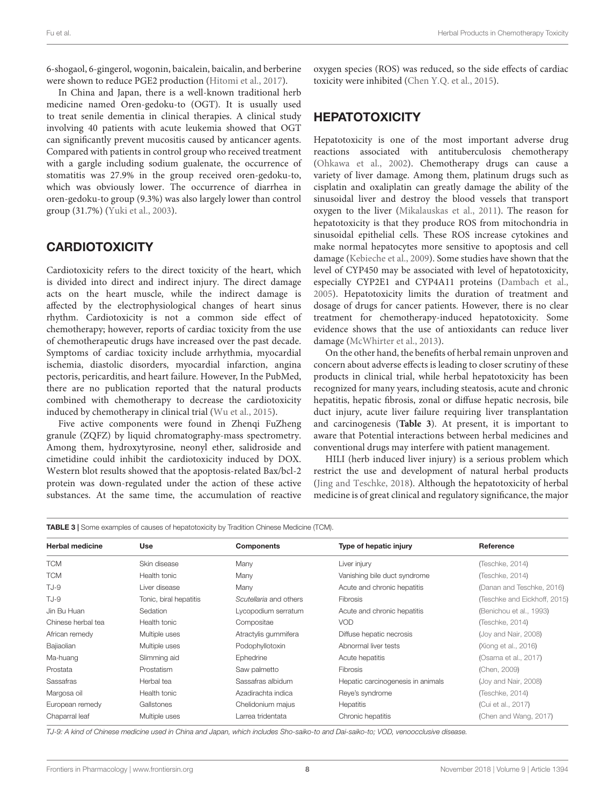6-shogaol, 6-gingerol, wogonin, baicalein, baicalin, and berberine were shown to reduce PGE2 production [\(Hitomi et al.,](#page-11-26) [2017\)](#page-11-26).

In China and Japan, there is a well-known traditional herb medicine named Oren-gedoku-to (OGT). It is usually used to treat senile dementia in clinical therapies. A clinical study involving 40 patients with acute leukemia showed that OGT can significantly prevent mucositis caused by anticancer agents. Compared with patients in control group who received treatment with a gargle including sodium gualenate, the occurrence of stomatitis was 27.9% in the group received oren-gedoku-to, which was obviously lower. The occurrence of diarrhea in oren-gedoku-to group (9.3%) was also largely lower than control group (31.7%) [\(Yuki et al.,](#page-14-19) [2003\)](#page-14-19).

### **CARDIOTOXICITY**

Cardiotoxicity refers to the direct toxicity of the heart, which is divided into direct and indirect injury. The direct damage acts on the heart muscle, while the indirect damage is affected by the electrophysiological changes of heart sinus rhythm. Cardiotoxicity is not a common side effect of chemotherapy; however, reports of cardiac toxicity from the use of chemotherapeutic drugs have increased over the past decade. Symptoms of cardiac toxicity include arrhythmia, myocardial ischemia, diastolic disorders, myocardial infarction, angina pectoris, pericarditis, and heart failure. However, In the PubMed, there are no publication reported that the natural products combined with chemotherapy to decrease the cardiotoxicity induced by chemotherapy in clinical trial [\(Wu et al.,](#page-13-30) [2015\)](#page-13-30).

Five active components were found in Zhenqi FuZheng granule (ZQFZ) by liquid chromatography-mass spectrometry. Among them, hydroxytyrosine, neonyl ether, salidroside and cimetidine could inhibit the cardiotoxicity induced by DOX. Western blot results showed that the apoptosis-related Bax/bcl-2 protein was down-regulated under the action of these active substances. At the same time, the accumulation of reactive

oxygen species (ROS) was reduced, so the side effects of cardiac toxicity were inhibited [\(Chen Y.Q. et al.,](#page-11-27) [2015\)](#page-11-27).

### HEPATOTOXICITY

Hepatotoxicity is one of the most important adverse drug reactions associated with antituberculosis chemotherapy [\(Ohkawa et al.,](#page-12-31) [2002\)](#page-12-31). Chemotherapy drugs can cause a variety of liver damage. Among them, platinum drugs such as cisplatin and oxaliplatin can greatly damage the ability of the sinusoidal liver and destroy the blood vessels that transport oxygen to the liver [\(Mikalauskas et al.,](#page-12-32) [2011\)](#page-12-32). The reason for hepatotoxicity is that they produce ROS from mitochondria in sinusoidal epithelial cells. These ROS increase cytokines and make normal hepatocytes more sensitive to apoptosis and cell damage [\(Kebieche et al.,](#page-12-33) [2009\)](#page-12-33). Some studies have shown that the level of CYP450 may be associated with level of hepatotoxicity, especially CYP2E1 and CYP4A11 proteins [\(Dambach et al.,](#page-11-28) [2005\)](#page-11-28). Hepatotoxicity limits the duration of treatment and dosage of drugs for cancer patients. However, there is no clear treatment for chemotherapy-induced hepatotoxicity. Some evidence shows that the use of antioxidants can reduce liver damage [\(McWhirter et al.,](#page-12-34) [2013\)](#page-12-34).

On the other hand, the benefits of herbal remain unproven and concern about adverse effects is leading to closer scrutiny of these products in clinical trial, while herbal hepatotoxicity has been recognized for many years, including steatosis, acute and chronic hepatitis, hepatic fibrosis, zonal or diffuse hepatic necrosis, bile duct injury, acute liver failure requiring liver transplantation and carcinogenesis (**[Table 3](#page-7-0)**). At present, it is important to aware that Potential interactions between herbal medicines and conventional drugs may interfere with patient management.

HILI (herb induced liver injury) is a serious problem which restrict the use and development of natural herbal products [\(Jing and Teschke,](#page-11-29) [2018\)](#page-11-29). Although the hepatotoxicity of herbal medicine is of great clinical and regulatory significance, the major

<span id="page-7-0"></span>TABLE 3 | Some examples of causes of hepatotoxicity by Tradition Chinese Medicine (TCM).

| <b>Herbal medicine</b> | <b>Use</b>             | <b>Components</b>      | Type of hepatic injury            | Reference                    |
|------------------------|------------------------|------------------------|-----------------------------------|------------------------------|
| <b>TCM</b>             | Skin disease           | Many                   | Liver injury                      | (Teschke, 2014)              |
| <b>TCM</b>             | Health tonic           | Many                   | Vanishing bile duct syndrome      | (Teschke, 2014)              |
| $TJ-9$                 | Liver disease          | Many                   | Acute and chronic hepatitis       | (Danan and Teschke, 2016)    |
| TJ-9                   | Tonic, biral hepatitis | Scutellaria and others | <b>Fibrosis</b>                   | (Teschke and Eickhoff, 2015) |
| Jin Bu Huan            | Sedation               | Lycopodium serratum    | Acute and chronic hepatitis       | (Benichou et al., 1993)      |
| Chinese herbal tea     | Health tonic           | Compositae             | <b>VOD</b>                        | (Teschke, 2014)              |
| African remedy         | Multiple uses          | Atractylis gummifera   | Diffuse hepatic necrosis          | (Joy and Nair, 2008)         |
| Bajiaolian             | Multiple uses          | Podophyllotoxin        | Abnormal liver tests              | (Xiong et al., 2016)         |
| Ma-huang               | Slimming aid           | Ephedrine              | Acute hepatitis                   | (Osama et al., 2017)         |
| Prostata               | Prostatism             | Saw palmetto           | Fibrosis                          | (Chen, 2009)                 |
| Sassafras              | Herbal tea             | Sassafras albidum      | Hepatic carcinogenesis in animals | (Joy and Nair, 2008)         |
| Margosa oil            | Health tonic           | Azadirachta indica     | Reye's syndrome                   | (Teschke, 2014)              |
| European remedy        | Gallstones             | Chelidonium majus      | <b>Hepatitis</b>                  | (Cui et al., 2017)           |
| Chaparral leaf         | Multiple uses          | Larrea tridentata      | Chronic hepatitis                 | (Chen and Wang, 2017)        |
|                        |                        |                        |                                   |                              |

TJ-9: A kind of Chinese medicine used in China and Japan, which includes Sho-saiko-to and Dai-saiko-to; VOD, venoocclusive disease.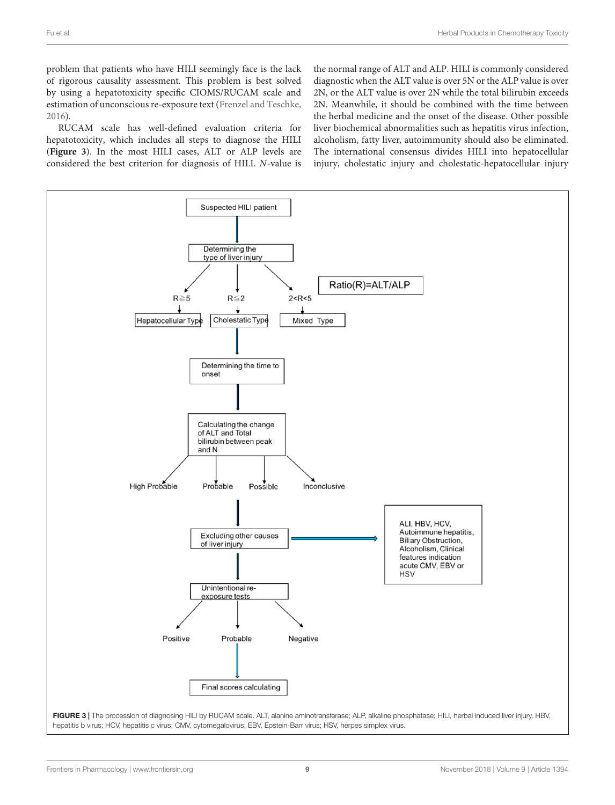problem that patients who have HILI seemingly face is the lack of rigorous causality assessment. This problem is best solved by using a hepatotoxicity specific CIOMS/RUCAM scale and estimation of unconscious re-exposure text [\(Frenzel and Teschke,](#page-11-32) [2016\)](#page-11-32).

RUCAM scale has well-defined evaluation criteria for hepatotoxicity, which includes all steps to diagnose the HILI (**[Figure 3](#page-8-0)**). In the most HILI cases, ALT or ALP levels are considered the best criterion for diagnosis of HILI. N-value is

the normal range of ALT and ALP. HILI is commonly considered diagnostic when the ALT value is over 5N or the ALP value is over 2N, or the ALT value is over 2N while the total bilirubin exceeds 2N. Meanwhile, it should be combined with the time between the herbal medicine and the onset of the disease. Other possible liver biochemical abnormalities such as hepatitis virus infection, alcoholism, fatty liver, autoimmunity should also be eliminated. The international consensus divides HILI into hepatocellular injury, cholestatic injury and cholestatic-hepatocellular injury

<span id="page-8-0"></span>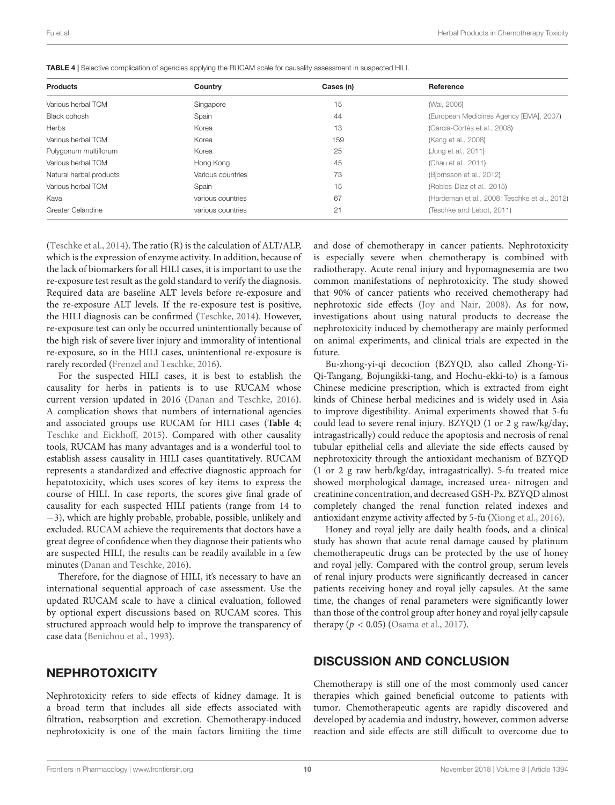<span id="page-9-0"></span>TABLE 4 | Selective complication of agencies applying the RUCAM scale for causality assessment in suspected HILI.

| <b>Products</b>         | Country           | Cases (n) | Reference                                     |
|-------------------------|-------------------|-----------|-----------------------------------------------|
| Various herbal TCM      | Singapore         | 15        | (Wai, 2006)                                   |
| Black cohosh            | Spain             | 44        | (European Medicines Agency [EMA], 2007)       |
| Herbs                   | Korea             | 13        | (García-Cortés et al., 2008)                  |
| Various herbal TCM      | Korea             | 159       | (Kang et al., 2008)                           |
| Polygonum multiflorum   | Korea             | 25        | (Jung et al., 2011)                           |
| Various herbal TCM      | Hong Kong         | 45        | (Chau et al., 2011)                           |
| Natural herbal products | Various countries | 73        | (Biornsson et al., 2012)                      |
| Various herbal TCM      | Spain             | 15        | (Robles-Diaz et al., 2015)                    |
| Kava                    | various countries | 67        | (Hardeman et al., 2008; Teschke et al., 2012) |
| Greater Celandine       | various countries | 21        | (Teschke and Lebot, 2011)                     |

[\(Teschke et al.,](#page-13-39) [2014\)](#page-13-39). The ratio (R) is the calculation of ALT/ALP, which is the expression of enzyme activity. In addition, because of the lack of biomarkers for all HILI cases, it is important to use the re-exposure test result as the gold standard to verify the diagnosis. Required data are baseline ALT levels before re-exposure and the re-exposure ALT levels. If the re-exposure test is positive, the HILI diagnosis can be confirmed [\(Teschke,](#page-13-31) [2014\)](#page-13-31). However, re-exposure test can only be occurred unintentionally because of the high risk of severe liver injury and immorality of intentional re-exposure, so in the HILI cases, unintentional re-exposure is rarely recorded [\(Frenzel and Teschke,](#page-11-32) [2016\)](#page-11-32).

For the suspected HILI cases, it is best to establish the causality for herbs in patients is to use RUCAM whose current version updated in 2016 [\(Danan and Teschke,](#page-11-30) [2016\)](#page-11-30). A complication shows that numbers of international agencies and associated groups use RUCAM for HILI cases (**[Table 4](#page-9-0)**; [Teschke and Eickhoff,](#page-13-32) [2015\)](#page-13-32). Compared with other causality tools, RUCAM has many advantages and is a wonderful tool to establish assess causality in HILI cases quantitatively. RUCAM represents a standardized and effective diagnostic approach for hepatotoxicity, which uses scores of key items to express the course of HILI. In case reports, the scores give final grade of causality for each suspected HILI patients (range from 14 to −3), which are highly probable, probable, possible, unlikely and excluded. RUCAM achieve the requirements that doctors have a great degree of confidence when they diagnose their patients who are suspected HILI, the results can be readily available in a few minutes [\(Danan and Teschke,](#page-11-30) [2016\)](#page-11-30).

Therefore, for the diagnose of HILI, it's necessary to have an international sequential approach of case assessment. Use the updated RUCAM scale to have a clinical evaluation, followed by optional expert discussions based on RUCAM scores. This structured approach would help to improve the transparency of case data [\(Benichou et al.,](#page-10-12) [1993\)](#page-10-12).

and dose of chemotherapy in cancer patients. Nephrotoxicity is especially severe when chemotherapy is combined with radiotherapy. Acute renal injury and hypomagnesemia are two common manifestations of nephrotoxicity. The study showed that 90% of cancer patients who received chemotherapy had nephrotoxic side effects [\(Joy and Nair,](#page-11-31) [2008\)](#page-11-31). As for now, investigations about using natural products to decrease the nephrotoxicity induced by chemotherapy are mainly performed on animal experiments, and clinical trials are expected in the future.

Bu-zhong-yi-qi decoction (BZYQD, also called Zhong-Yi-Qi-Tangang, Bojungikki-tang, and Hochu-ekki-to) is a famous Chinese medicine prescription, which is extracted from eight kinds of Chinese herbal medicines and is widely used in Asia to improve digestibility. Animal experiments showed that 5-fu could lead to severe renal injury. BZYQD (1 or 2 g raw/kg/day, intragastrically) could reduce the apoptosis and necrosis of renal tubular epithelial cells and alleviate the side effects caused by nephrotoxicity through the antioxidant mechanism of BZYQD (1 or 2 g raw herb/kg/day, intragastrically). 5-fu treated mice showed morphological damage, increased urea- nitrogen and creatinine concentration, and decreased GSH-Px. BZYQD almost completely changed the renal function related indexes and antioxidant enzyme activity affected by 5-fu [\(Xiong et al.,](#page-13-33) [2016\)](#page-13-33).

Honey and royal jelly are daily health foods, and a clinical study has shown that acute renal damage caused by platinum chemotherapeutic drugs can be protected by the use of honey and royal jelly. Compared with the control group, serum levels of renal injury products were significantly decreased in cancer patients receiving honey and royal jelly capsules. At the same time, the changes of renal parameters were significantly lower than those of the control group after honey and royal jelly capsule therapy  $(p < 0.05)$  [\(Osama et al.,](#page-13-34) [2017\)](#page-13-34).

### **NEPHROTOXICITY**

Nephrotoxicity refers to side effects of kidney damage. It is a broad term that includes all side effects associated with filtration, reabsorption and excretion. Chemotherapy-induced nephrotoxicity is one of the main factors limiting the time

### DISCUSSION AND CONCLUSION

Chemotherapy is still one of the most commonly used cancer therapies which gained beneficial outcome to patients with tumor. Chemotherapeutic agents are rapidly discovered and developed by academia and industry, however, common adverse reaction and side effects are still difficult to overcome due to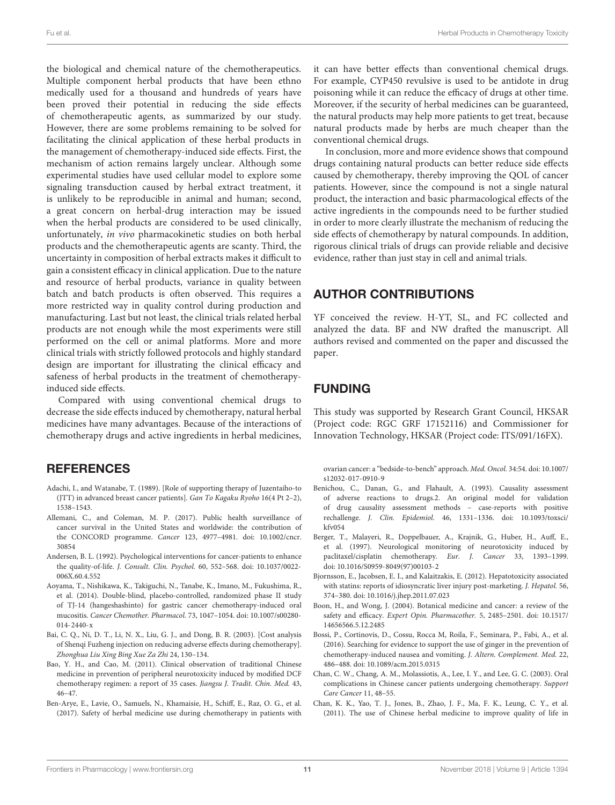the biological and chemical nature of the chemotherapeutics. Multiple component herbal products that have been ethno medically used for a thousand and hundreds of years have been proved their potential in reducing the side effects of chemotherapeutic agents, as summarized by our study. However, there are some problems remaining to be solved for facilitating the clinical application of these herbal products in the management of chemotherapy-induced side effects. First, the mechanism of action remains largely unclear. Although some experimental studies have used cellular model to explore some signaling transduction caused by herbal extract treatment, it is unlikely to be reproducible in animal and human; second, a great concern on herbal-drug interaction may be issued when the herbal products are considered to be used clinically, unfortunately, in vivo pharmacokinetic studies on both herbal products and the chemotherapeutic agents are scanty. Third, the uncertainty in composition of herbal extracts makes it difficult to gain a consistent efficacy in clinical application. Due to the nature and resource of herbal products, variance in quality between batch and batch products is often observed. This requires a more restricted way in quality control during production and manufacturing. Last but not least, the clinical trials related herbal products are not enough while the most experiments were still performed on the cell or animal platforms. More and more clinical trials with strictly followed protocols and highly standard design are important for illustrating the clinical efficacy and safeness of herbal products in the treatment of chemotherapyinduced side effects.

Compared with using conventional chemical drugs to decrease the side effects induced by chemotherapy, natural herbal medicines have many advantages. Because of the interactions of chemotherapy drugs and active ingredients in herbal medicines,

### **REFERENCES**

- <span id="page-10-9"></span>Adachi, I., and Watanabe, T. (1989). [Role of supporting therapy of Juzentaiho-to (JTT) in advanced breast cancer patients]. Gan To Kagaku Ryoho 16(4 Pt 2–2), 1538–1543.
- <span id="page-10-0"></span>Allemani, C., and Coleman, M. P. (2017). Public health surveillance of cancer survival in the United States and worldwide: the contribution of the CONCORD programme. Cancer 123, 4977–4981. [doi: 10.1002/cncr.](https://doi.org/10.1002/cncr.30854) [30854](https://doi.org/10.1002/cncr.30854)
- <span id="page-10-1"></span>Andersen, B. L. (1992). Psychological interventions for cancer-patients to enhance the quality-of-life. J. Consult. Clin. Psychol. 60, 552–568. [doi: 10.1037/0022-](https://doi.org/10.1037/0022-006X.60.4.552) [006X.60.4.552](https://doi.org/10.1037/0022-006X.60.4.552)
- <span id="page-10-11"></span>Aoyama, T., Nishikawa, K., Takiguchi, N., Tanabe, K., Imano, M., Fukushima, R., et al. (2014). Double-blind, placebo-controlled, randomized phase II study of TJ-14 (hangeshashinto) for gastric cancer chemotherapy-induced oral mucositis. Cancer Chemother. Pharmacol. 73, 1047–1054. [doi: 10.1007/s00280-](https://doi.org/10.1007/s00280-014-2440-x) [014-2440-x](https://doi.org/10.1007/s00280-014-2440-x)
- <span id="page-10-7"></span>Bai, C. Q., Ni, D. T., Li, N. X., Liu, G. J., and Dong, B. R. (2003). [Cost analysis of Shenqi Fuzheng injection on reducing adverse effects during chemotherapy]. Zhonghua Liu Xing Bing Xue Za Zhi 24, 130–134.
- <span id="page-10-3"></span>Bao, Y. H., and Cao, M. (2011). Clinical observation of traditional Chinese medicine in prevention of peripheral neurotoxicity induced by modified DCF chemotherapy regimen: a report of 35 cases. Jiangsu J. Tradit. Chin. Med. 43, 46–47.
- <span id="page-10-4"></span>Ben-Arye, E., Lavie, O., Samuels, N., Khamaisie, H., Schiff, E., Raz, O. G., et al. (2017). Safety of herbal medicine use during chemotherapy in patients with

it can have better effects than conventional chemical drugs. For example, CYP450 revulsive is used to be antidote in drug poisoning while it can reduce the efficacy of drugs at other time. Moreover, if the security of herbal medicines can be guaranteed, the natural products may help more patients to get treat, because natural products made by herbs are much cheaper than the conventional chemical drugs.

In conclusion, more and more evidence shows that compound drugs containing natural products can better reduce side effects caused by chemotherapy, thereby improving the QOL of cancer patients. However, since the compound is not a single natural product, the interaction and basic pharmacological effects of the active ingredients in the compounds need to be further studied in order to more clearly illustrate the mechanism of reducing the side effects of chemotherapy by natural compounds. In addition, rigorous clinical trials of drugs can provide reliable and decisive evidence, rather than just stay in cell and animal trials.

### AUTHOR CONTRIBUTIONS

YF conceived the review. H-YT, SL, and FC collected and analyzed the data. BF and NW drafted the manuscript. All authors revised and commented on the paper and discussed the paper.

# FUNDING

This study was supported by Research Grant Council, HKSAR (Project code: RGC GRF 17152116) and Commissioner for Innovation Technology, HKSAR (Project code: ITS/091/16FX).

ovarian cancer: a "bedside-to-bench" approach. Med. Oncol. 34:54. [doi: 10.1007/](https://doi.org/10.1007/s12032-017-0910-9) [s12032-017-0910-9](https://doi.org/10.1007/s12032-017-0910-9)

- <span id="page-10-12"></span>Benichou, C., Danan, G., and Flahault, A. (1993). Causality assessment of adverse reactions to drugs.2. An original model for validation of drug causality assessment methods – case-reports with positive rechallenge. J. Clin. Epidemiol. 46, 1331–1336. [doi: 10.1093/toxsci/](https://doi.org/10.1093/toxsci/kfv054) [kfv054](https://doi.org/10.1093/toxsci/kfv054)
- <span id="page-10-2"></span>Berger, T., Malayeri, R., Doppelbauer, A., Krajnik, G., Huber, H., Auff, E., et al. (1997). Neurological monitoring of neurotoxicity induced by paclitaxel/cisplatin chemotherapy. Eur. J. Cancer 33, 1393–1399. [doi: 10.1016/S0959-8049\(97\)00103-2](https://doi.org/10.1016/S0959-8049(97)00103-2)
- <span id="page-10-13"></span>Bjornsson, E., Jacobsen, E. I., and Kalaitzakis, E. (2012). Hepatotoxicity associated with statins: reports of idiosyncratic liver injury post-marketing. J. Hepatol. 56, 374–380. [doi: 10.1016/j.jhep.2011.07.023](https://doi.org/10.1016/j.jhep.2011.07.023)
- <span id="page-10-5"></span>Boon, H., and Wong, J. (2004). Botanical medicine and cancer: a review of the safety and efficacy. Expert Opin. Pharmacother. 5, 2485–2501. [doi: 10.1517/](https://doi.org/10.1517/14656566.5.12.2485) [14656566.5.12.2485](https://doi.org/10.1517/14656566.5.12.2485)
- <span id="page-10-6"></span>Bossi, P., Cortinovis, D., Cossu, Rocca M, Roila, F., Seminara, P., Fabi, A., et al. (2016). Searching for evidence to support the use of ginger in the prevention of chemotherapy-induced nausea and vomiting. J. Altern. Complement. Med. 22, 486–488. [doi: 10.1089/acm.2015.0315](https://doi.org/10.1089/acm.2015.0315)
- <span id="page-10-10"></span>Chan, C. W., Chang, A. M., Molassiotis, A., Lee, I. Y., and Lee, G. C. (2003). Oral complications in Chinese cancer patients undergoing chemotherapy. Support Care Cancer 11, 48–55.
- <span id="page-10-8"></span>Chan, K. K., Yao, T. J., Jones, B., Zhao, J. F., Ma, F. K., Leung, C. Y., et al. (2011). The use of Chinese herbal medicine to improve quality of life in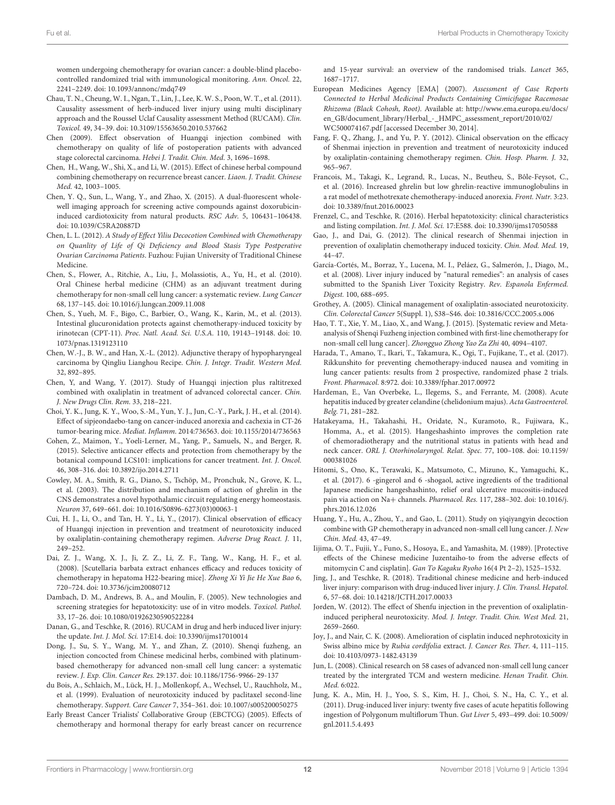women undergoing chemotherapy for ovarian cancer: a double-blind placebocontrolled randomized trial with immunological monitoring. Ann. Oncol. 22, 2241–2249. [doi: 10.1093/annonc/mdq749](https://doi.org/10.1093/annonc/mdq749)

- <span id="page-11-36"></span>Chau, T. N., Cheung, W. I., Ngan, T., Lin, J., Lee, K. W. S., Poon, W. T., et al. (2011). Causality assessment of herb-induced liver injury using multi disciplinary approach and the Roussel Uclaf Causality assessment Method (RUCAM). Clin. Toxicol. 49, 34–39. [doi: 10.3109/15563650.2010.537662](https://doi.org/10.3109/15563650.2010.537662)
- <span id="page-11-3"></span>Chen (2009). Effect observation of Huangqi injection combined with chemotherapy on quality of life of postoperation patients with advanced stage colorectal carcinoma. Hebei J. Tradit. Chin. Med. 3, 1696–1698.
- <span id="page-11-19"></span>Chen, H., Wang, W., Shi, X., and Li, W. (2015). Effect of chinese herbal compound combining chemotherapy on recurrence breast cancer. Liaon. J. Tradit. Chinese Med. 42, 1003–1005.
- <span id="page-11-27"></span>Chen, Y. Q., Sun, L., Wang, Y., and Zhao, X. (2015). A dual-fluorescent wholewell imaging approach for screening active compounds against doxorubicininduced cardiotoxicity from natural products. RSC Adv. 5, 106431–106438. [doi: 10.1039/C5RA20887D](https://doi.org/10.1039/C5RA20887D)
- <span id="page-11-20"></span>Chen, L. L. (2012). A Study of Effect Yiliu Decocotion Combined with Chemotherapy on Quanlity of Life of Qi Deficiency and Blood Stasis Type Postperative Ovarian Carcinoma Patients. Fuzhou: Fujian University of Traditional Chinese Medicine.
- <span id="page-11-1"></span>Chen, S., Flower, A., Ritchie, A., Liu, J., Molassiotis, A., Yu, H., et al. (2010). Oral Chinese herbal medicine (CHM) as an adjuvant treatment during chemotherapy for non-small cell lung cancer: a systematic review. Lung Cancer 68, 137–145. [doi: 10.1016/j.lungcan.2009.11.008](https://doi.org/10.1016/j.lungcan.2009.11.008)
- <span id="page-11-15"></span>Chen, S., Yueh, M. F., Bigo, C., Barbier, O., Wang, K., Karin, M., et al. (2013). Intestinal glucuronidation protects against chemotherapy-induced toxicity by irinotecan (CPT-11). Proc. Natl. Acad. Sci. U.S.A. 110, 19143–19148. [doi: 10.](https://doi.org/10.1073/pnas.1319123110) [1073/pnas.1319123110](https://doi.org/10.1073/pnas.1319123110)
- <span id="page-11-21"></span>Chen, W.-J., B. W., and Han, X.-L. (2012). Adjunctive therapy of hypopharyngeal carcinoma by Qingliu Lianghou Recipe. Chin. J. Integr. Tradit. Western Med. 32, 892–895.
- <span id="page-11-5"></span>Chen, Y, and Wang, Y. (2017). Study of Huangqi injection plus raltitrexed combined with oxaliplatin in treatment of advanced colorectal cancer. Chin. J. New Drugs Clin. Rem. 33, 218–221.
- <span id="page-11-13"></span>Choi, Y. K., Jung, K. Y., Woo, S.-M., Yun, Y. J., Jun, C.-Y., Park, J. H., et al. (2014). Effect of sipjeondaebo-tang on cancer-induced anorexia and cachexia in CT-26 tumor-bearing mice. Mediat. Inflamm. 2014:736563. [doi: 10.1155/2014/736563](https://doi.org/10.1155/2014/736563)
- <span id="page-11-25"></span>Cohen, Z., Maimon, Y., Yoeli-Lerner, M., Yang, P., Samuels, N., and Berger, R. (2015). Selective anticancer effects and protection from chemotherapy by the botanical compound LCS101: implications for cancer treatment. Int. J. Oncol. 46, 308–316. [doi: 10.3892/ijo.2014.2711](https://doi.org/10.3892/ijo.2014.2711)
- <span id="page-11-11"></span>Cowley, M. A., Smith, R. G., Diano, S., Tschöp, M., Pronchuk, N., Grove, K. L., et al. (2003). The distribution and mechanism of action of ghrelin in the CNS demonstrates a novel hypothalamic circuit regulating energy homeostasis. Neuron 37, 649–661. [doi: 10.1016/S0896-6273\(03\)00063-1](https://doi.org/10.1016/S0896-6273(03)00063-1)
- <span id="page-11-4"></span>Cui, H. J., Li, O., and Tan, H. Y., Li, Y., (2017). Clinical observation of efficacy of Huangqi injection in prevention and treatment of neurotoxicity induced by oxaliplatin-containing chemotherapy regimen. Adverse Drug React. J. 11, 249–252.
- <span id="page-11-14"></span>Dai, Z. J., Wang, X. J., Ji, Z. Z., Li, Z. F., Tang, W., Kang, H. F., et al. (2008). [Scutellaria barbata extract enhances efficacy and reduces toxicity of chemotherapy in hepatoma H22-bearing mice]. Zhong Xi Yi Jie He Xue Bao 6, 720–724. [doi: 10.3736/jcim20080712](https://doi.org/10.3736/jcim20080712)
- <span id="page-11-28"></span>Dambach, D. M., Andrews, B. A., and Moulin, F. (2005). New technologies and screening strategies for hepatotoxicity: use of in vitro models. Toxicol. Pathol. 33, 17–26. [doi: 10.1080/01926230590522284](https://doi.org/10.1080/01926230590522284)
- <span id="page-11-30"></span>Danan, G., and Teschke, R. (2016). RUCAM in drug and herb induced liver injury: the update. Int. J. Mol. Sci. 17:E14. [doi: 10.3390/ijms17010014](https://doi.org/10.3390/ijms17010014)
- <span id="page-11-17"></span>Dong, J., Su, S. Y., Wang, M. Y., and Zhan, Z. (2010). Shenqi fuzheng, an injection concocted from Chinese medicinal herbs, combined with platinumbased chemotherapy for advanced non-small cell lung cancer: a systematic review. J. Exp. Clin. Cancer Res. 29:137. [doi: 10.1186/1756-9966-29-137](https://doi.org/10.1186/1756-9966-29-137)
- <span id="page-11-2"></span>du Bois, A., Schlaich, M., Lück, H. J., Mollenkopf, A., Wechsel, U., Rauchholz, M., et al. (1999). Evaluation of neurotoxicity induced by paclitaxel second-line chemotherapy. Support. Care Cancer 7, 354–361. [doi: 10.1007/s005200050275](https://doi.org/10.1007/s005200050275)
- <span id="page-11-0"></span>Early Breast Cancer Trialists' Collaborative Group (EBCTCG) (2005). Effects of chemotherapy and hormonal therapy for early breast cancer on recurrence

and 15-year survival: an overview of the randomised trials. Lancet 365, 1687–1717.

- <span id="page-11-33"></span>European Medicines Agency [EMA] (2007). Assessment of Case Reports Connected to Herbal Medicinal Products Containing Cimicifugae Racemosae Rhizoma (Black Cohosh, Root). Available at: [http://www.ema.europa.eu/docs/](http://www.ema.europa.eu/docs/en_GB/document_library/Herbal_-_HMPC_ assessment_ report/2010/02/WC500074167.pdf) [en\\_GB/document\\_library/Herbal\\_-\\_HMPC\\_assessment\\_report/2010/02/](http://www.ema.europa.eu/docs/en_GB/document_library/Herbal_-_HMPC_ assessment_ report/2010/02/WC500074167.pdf) [WC500074167.pdf](http://www.ema.europa.eu/docs/en_GB/document_library/Herbal_-_HMPC_ assessment_ report/2010/02/WC500074167.pdf) [accessed December 30, 2014].
- <span id="page-11-6"></span>Fang, F. Q., Zhang, J., and Yu, P. Y. (2012). Clinical observation on the efficacy of Shenmai injection in prevention and treatment of neurotoxicity induced by oxaliplatin-containing chemotherapy regimen. Chin. Hosp. Pharm. J. 32, 965–967.
- <span id="page-11-10"></span>Francois, M., Takagi, K., Legrand, R., Lucas, N., Beutheu, S., Bôle-Feysot, C., et al. (2016). Increased ghrelin but low ghrelin-reactive immunoglobulins in a rat model of methotrexate chemotherapy-induced anorexia. Front. Nutr. 3:23. [doi: 10.3389/fnut.2016.00023](https://doi.org/10.3389/fnut.2016.00023)
- <span id="page-11-32"></span>Frenzel, C., and Teschke, R. (2016). Herbal hepatotoxicity: clinical characteristics and listing compilation. Int. J. Mol. Sci. 17:E588. [doi: 10.3390/ijms17050588](https://doi.org/10.3390/ijms17050588)
- <span id="page-11-7"></span>Gao, J., and Dai, G. (2012). The clinical research of Shenmai injection in prevention of oxaliplatin chemotherapy induced toxicity. Chin. Mod. Med. 19, 44–47.
- <span id="page-11-34"></span>García-Cortés, M., Borraz, Y., Lucena, M. I., Peláez, G., Salmerón, J., Diago, M., et al. (2008). Liver injury induced by "natural remedies": an analysis of cases submitted to the Spanish Liver Toxicity Registry. Rev. Espanola Enfermed. Digest. 100, 688–695.
- <span id="page-11-9"></span>Grothey, A. (2005). Clinical management of oxaliplatin-associated neurotoxicity. Clin. Colorectal Cancer 5(Suppl. 1), S38–S46. [doi: 10.3816/CCC.2005.s.006](https://doi.org/10.3816/CCC.2005.s.006)
- <span id="page-11-18"></span>Hao, T. T., Xie, Y. M., Liao, X., and Wang, J. (2015). [Systematic review and Metaanalysis of Shenqi Fuzheng injection combined with first-line chemotherapy for non-small cell lung cancer]. Zhongguo Zhong Yao Za Zhi 40, 4094–4107.
- <span id="page-11-12"></span>Harada, T., Amano, T., Ikari, T., Takamura, K., Ogi, T., Fujikane, T., et al. (2017). Rikkunshito for preventing chemotherapy-induced nausea and vomiting in lung cancer patients: results from 2 prospective, randomized phase 2 trials. Front. Pharmacol. 8:972. [doi: 10.3389/fphar.2017.00972](https://doi.org/10.3389/fphar.2017.00972)
- <span id="page-11-37"></span>Hardeman, E., Van Overbeke, L., Ilegems, S., and Ferrante, M. (2008). Acute hepatitis induced by greater celandine (chelidonium majus). Acta Gastroenterol. Belg. 71, 281–282.
- <span id="page-11-16"></span>Hatakeyama, H., Takahashi, H., Oridate, N., Kuramoto, R., Fujiwara, K., Homma, A., et al. (2015). Hangeshashinto improves the completion rate of chemoradiotherapy and the nutritional status in patients with head and neck cancer. ORL J. Otorhinolaryngol. Relat. Spec. 77, 100–108. [doi: 10.1159/](https://doi.org/10.1159/000381026) [000381026](https://doi.org/10.1159/000381026)
- <span id="page-11-26"></span>Hitomi, S., Ono, K., Terawaki, K., Matsumoto, C., Mizuno, K., Yamaguchi, K., et al. (2017). 6 -gingerol and 6 -shogaol, active ingredients of the traditional Japanese medicine hangeshashinto, relief oral ulcerative mucositis-induced pain via action on Na+ channels. Pharmacol. Res. 117, 288–302. [doi: 10.1016/j.](https://doi.org/10.1016/j.phrs.2016.12.026) [phrs.2016.12.026](https://doi.org/10.1016/j.phrs.2016.12.026)
- <span id="page-11-22"></span>Huang, Y., Hu, A., Zhou, Y., and Gao, L. (2011). Study on yiqiyangyin decoction combine with GP chemotherapy in advanced non-small cell lung cancer. J. New Chin. Med. 43, 47–49.
- <span id="page-11-24"></span>Iijima, O. T., Fujii, Y., Funo, S., Hosoya, E., and Yamashita, M. (1989). [Protective effects of the Chinese medicine Juzentaiho-to from the adverse effects of mitomycin C and cisplatin]. Gan To Kagaku Ryoho 16(4 Pt 2–2), 1525–1532.
- <span id="page-11-29"></span>Jing, J., and Teschke, R. (2018). Traditional chinese medicine and herb-induced liver injury: comparison with drug-induced liver injury. J. Clin. Transl. Hepatol. 6, 57–68. [doi: 10.14218/JCTH.2017.00033](https://doi.org/10.14218/JCTH.2017.00033)
- <span id="page-11-8"></span>Jorden, W. (2012). The effect of Shenfu injection in the prevention of oxaliplatininduced peripheral neurotoxicity. Mod. J. Integr. Tradit. Chin. West Med. 21, 2659–2660.
- <span id="page-11-31"></span>Joy, J., and Nair, C. K. (2008). Amelioration of cisplatin induced nephrotoxicity in Swiss albino mice by Rubia cordifolia extract. J. Cancer Res. Ther. 4, 111–115. [doi: 10.4103/0973-1482.43139](https://doi.org/10.4103/0973-1482.43139)
- <span id="page-11-23"></span>Jun, L. (2008). Clinical research on 58 cases of advanced non-small cell lung cancer treated by the intergrated TCM and western medicine. Henan Tradit. Chin. Med. 6:022.
- <span id="page-11-35"></span>Jung, K. A., Min, H. J., Yoo, S. S., Kim, H. J., Choi, S. N., Ha, C. Y., et al. (2011). Drug-induced liver injury: twenty five cases of acute hepatitis following ingestion of Polygonum multiflorum Thun. Gut Liver 5, 493–499. [doi: 10.5009/](https://doi.org/10.5009/gnl.2011.5.4.493) [gnl.2011.5.4.493](https://doi.org/10.5009/gnl.2011.5.4.493)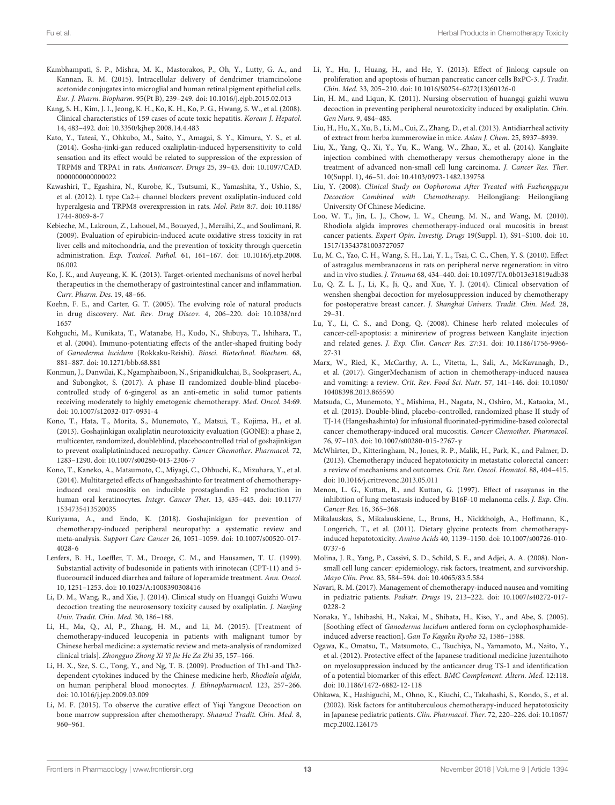- <span id="page-12-19"></span>Kambhampati, S. P., Mishra, M. K., Mastorakos, P., Oh, Y., Lutty, G. A., and Kannan, R. M. (2015). Intracellular delivery of dendrimer triamcinolone acetonide conjugates into microglial and human retinal pigment epithelial cells. Eur. J. Pharm. Biopharm. 95(Pt B), 239–249. [doi: 10.1016/j.ejpb.2015.02.013](https://doi.org/10.1016/j.ejpb.2015.02.013)
- <span id="page-12-35"></span>Kang, S. H., Kim, J. I., Jeong, K. H., Ko, K. H., Ko, P. G., Hwang, S. W., et al. (2008). Clinical characteristics of 159 cases of acute toxic hepatitis. Korean J. Hepatol. 14, 483–492. [doi: 10.3350/kjhep.2008.14.4.483](https://doi.org/10.3350/kjhep.2008.14.4.483)
- <span id="page-12-5"></span>Kato, Y., Tateai, Y., Ohkubo, M., Saito, Y., Amagai, S. Y., Kimura, Y. S., et al. (2014). Gosha-jinki-gan reduced oxaliplatin-induced hypersensitivity to cold sensation and its effect would be related to suppression of the expression of TRPM8 and TRPA1 in rats. Anticancer. Drugs 25, 39–43. [doi: 10.1097/CAD.](https://doi.org/10.1097/CAD.0000000000000022) [0000000000000022](https://doi.org/10.1097/CAD.0000000000000022)
- <span id="page-12-3"></span>Kawashiri, T., Egashira, N., Kurobe, K., Tsutsumi, K., Yamashita, Y., Ushio, S., et al. (2012). L type Ca2+ channel blockers prevent oxaliplatin-induced cold hyperalgesia and TRPM8 overexpression in rats. Mol. Pain 8:7. [doi: 10.1186/](https://doi.org/10.1186/1744-8069-8-7) [1744-8069-8-7](https://doi.org/10.1186/1744-8069-8-7)
- <span id="page-12-33"></span>Kebieche, M., Lakroun, Z., Lahouel, M., Bouayed, J., Meraihi, Z., and Soulimani, R. (2009). Evaluation of epirubicin-induced acute oxidative stress toxicity in rat liver cells and mitochondria, and the prevention of toxicity through quercetin administration. Exp. Toxicol. Pathol. 61, 161–167. [doi: 10.1016/j.etp.2008.](https://doi.org/10.1016/j.etp.2008.06.002) [06.002](https://doi.org/10.1016/j.etp.2008.06.002)
- <span id="page-12-2"></span>Ko, J. K., and Auyeung, K. K. (2013). Target-oriented mechanisms of novel herbal therapeutics in the chemotherapy of gastrointestinal cancer and inflammation. Curr. Pharm. Des. 19, 48–66.
- <span id="page-12-1"></span>Koehn, F. E., and Carter, G. T. (2005). The evolving role of natural products in drug discovery. Nat. Rev. Drug Discov. 4, 206–220. [doi: 10.1038/nrd](https://doi.org/10.1038/nrd1657) [1657](https://doi.org/10.1038/nrd1657)
- <span id="page-12-24"></span>Kohguchi, M., Kunikata, T., Watanabe, H., Kudo, N., Shibuya, T., Ishihara, T., et al. (2004). Immuno-potentiating effects of the antler-shaped fruiting body of Ganoderma lucidum (Rokkaku-Reishi). Biosci. Biotechnol. Biochem. 68, 881–887. [doi: 10.1271/bbb.68.881](https://doi.org/10.1271/bbb.68.881)
- <span id="page-12-12"></span>Konmun, J., Danwilai, K., Ngamphaiboon, N., Sripanidkulchai, B., Sookprasert, A., and Subongkot, S. (2017). A phase II randomized double-blind placebocontrolled study of 6-gingerol as an anti-emetic in solid tumor patients receiving moderately to highly emetogenic chemotherapy. Med. Oncol. 34:69. [doi: 10.1007/s12032-017-0931-4](https://doi.org/10.1007/s12032-017-0931-4)
- <span id="page-12-6"></span>Kono, T., Hata, T., Morita, S., Munemoto, Y., Matsui, T., Kojima, H., et al. (2013). Goshajinkigan oxaliplatin neurotoxicity evaluation (GONE): a phase 2, multicenter, randomized, doubleblind, placebocontrolled trial of goshajinkigan to prevent oxaliplatininduced neuropathy. Cancer Chemother. Pharmacol. 72, 1283–1290. [doi: 10.1007/s00280-013-2306-7](https://doi.org/10.1007/s00280-013-2306-7)
- <span id="page-12-17"></span>Kono, T., Kaneko, A., Matsumoto, C., Miyagi, C., Ohbuchi, K., Mizuhara, Y., et al. (2014). Multitargeted effects of hangeshashinto for treatment of chemotherapyinduced oral mucositis on inducible prostaglandin E2 production in human oral keratinocytes. Integr. Cancer Ther. 13, 435–445. [doi: 10.1177/](https://doi.org/10.1177/1534735413520035) [1534735413520035](https://doi.org/10.1177/1534735413520035)
- <span id="page-12-4"></span>Kuriyama, A., and Endo, K. (2018). Goshajinkigan for prevention of chemotherapy-induced peripheral neuropathy: a systematic review and meta-analysis. Support Care Cancer 26, 1051–1059. [doi: 10.1007/s00520-017-](https://doi.org/10.1007/s00520-017-4028-6) [4028-6](https://doi.org/10.1007/s00520-017-4028-6)
- <span id="page-12-16"></span>Lenfers, B. H., Loeffler, T. M., Droege, C. M., and Hausamen, T. U. (1999). Substantial activity of budesonide in patients with irinotecan (CPT-11) and 5 fluorouracil induced diarrhea and failure of loperamide treatment. Ann. Oncol. 10, 1251–1253. [doi: 10.1023/A:1008390308416](https://doi.org/10.1023/A:1008390308416)
- <span id="page-12-8"></span>Li, D. M., Wang, R., and Xie, J. (2014). Clinical study on Huangqi Guizhi Wuwu decoction treating the neurosensory toxicity caused by oxaliplatin. J. Nanjing Univ. Tradit. Chin. Med. 30, 186–188.
- <span id="page-12-20"></span>Li, H., Ma, Q., Al, P., Zhang, H. M., and Li, M. (2015). [Treatment of chemotherapy-induced leucopenia in patients with malignant tumor by Chinese herbal medicine: a systematic review and meta-analysis of randomized clinical trials]. Zhongguo Zhong Xi Yi Jie He Za Zhi 35, 157–166.
- <span id="page-12-29"></span>Li, H. X., Sze, S. C., Tong, Y., and Ng, T. B. (2009). Production of Th1-and Th2 dependent cytokines induced by the Chinese medicine herb, Rhodiola algida, on human peripheral blood monocytes. J. Ethnopharmacol. 123, 257–266. [doi: 10.1016/j.jep.2009.03.009](https://doi.org/10.1016/j.jep.2009.03.009)
- <span id="page-12-21"></span>Li, M. F. (2015). To observe the curative effect of Yiqi Yangxue Decoction on bone marrow suppression after chemotherapy. Shaanxi Tradit. Chin. Med. 8, 960–961.
- <span id="page-12-15"></span>Li, Y., Hu, J., Huang, H., and He, Y. (2013). Effect of Jinlong capsule on proliferation and apoptosis of human pancreatic cancer cells BxPC-3. J. Tradit. Chin. Med. 33, 205–210. [doi: 10.1016/S0254-6272\(13\)60126-0](https://doi.org/10.1016/S0254-6272(13)60126-0)
- <span id="page-12-9"></span>Lin, H. M., and Liqun, K. (2011). Nursing observation of huangqi guizhi wuwu decoction in preventing peripheral neurotoxicity induced by oxaliplatin. Chin. Gen Nurs. 9, 484–485.
- <span id="page-12-18"></span>Liu, H., Hu, X., Xu, B., Li, M., Cui, Z., Zhang, D., et al. (2013). Antidiarrheal activity of extract from herba kummerowiae in mice. Asian J. Chem. 25, 8937–8939.
- <span id="page-12-14"></span>Liu, X., Yang, Q., Xi, Y., Yu, K., Wang, W., Zhao, X., et al. (2014). Kanglaite injection combined with chemotherapy versus chemotherapy alone in the treatment of advanced non-small cell lung carcinoma. J. Cancer Res. Ther. 10(Suppl. 1), 46–51. [doi: 10.4103/0973-1482.139758](https://doi.org/10.4103/0973-1482.139758)
- <span id="page-12-22"></span>Liu, Y. (2008). Clinical Study on Oophoroma After Treated with Fuzhengquyu Decoction Combined with Chemotherapy. Heilongjiang: Heilongjiang University Of Chinese Medicine.
- <span id="page-12-30"></span>Loo, W. T., Jin, L. J., Chow, L. W., Cheung, M. N., and Wang, M. (2010). Rhodiola algida improves chemotherapy-induced oral mucositis in breast cancer patients. Expert Opin. Investig. Drugs 19(Suppl. 1), S91–S100. [doi: 10.](https://doi.org/10.1517/13543781003727057) [1517/13543781003727057](https://doi.org/10.1517/13543781003727057)
- <span id="page-12-7"></span>Lu, M. C., Yao, C. H., Wang, S. H., Lai, Y. L., Tsai, C. C., Chen, Y. S. (2010). Effect of astragalus membranaceus in rats on peripheral nerve regeneration: in vitro and in vivo studies. J. Trauma 68, 434–440. [doi: 10.1097/TA.0b013e31819adb38](https://doi.org/10.1097/TA.0b013e31819adb38)
- <span id="page-12-23"></span>Lu, Q. Z. L. J., Li, K., Ji, Q., and Xue, Y. J. (2014). Clinical observation of wenshen shengbai decoction for myelosuppression induced by chemotherapy for postoperative breast cancer. J. Shanghai Univers. Tradit. Chin. Med. 28, 29–31.
- <span id="page-12-13"></span>Lu, Y., Li, C. S., and Dong, Q. (2008). Chinese herb related molecules of cancer-cell-apoptosis: a minireview of progress between Kanglaite injection and related genes. J. Exp. Clin. Cancer Res. 27:31. [doi: 10.1186/1756-9966-](https://doi.org/10.1186/1756-9966-27-31) [27-31](https://doi.org/10.1186/1756-9966-27-31)
- <span id="page-12-11"></span>Marx, W., Ried, K., McCarthy, A. L., Vitetta, L., Sali, A., McKavanagh, D., et al. (2017). GingerMechanism of action in chemotherapy-induced nausea and vomiting: a review. Crit. Rev. Food Sci. Nutr. 57, 141–146. [doi: 10.1080/](https://doi.org/10.1080/10408398.2013.865590) [10408398.2013.865590](https://doi.org/10.1080/10408398.2013.865590)
- <span id="page-12-28"></span>Matsuda, C., Munemoto, Y., Mishima, H., Nagata, N., Oshiro, M., Kataoka, M., et al. (2015). Double-blind, placebo-controlled, randomized phase II study of TJ-14 (Hangeshashinto) for infusional fluorinated-pyrimidine-based colorectal cancer chemotherapy-induced oral mucositis. Cancer Chemother. Pharmacol. 76, 97–103. [doi: 10.1007/s00280-015-2767-y](https://doi.org/10.1007/s00280-015-2767-y)
- <span id="page-12-34"></span>McWhirter, D., Kitteringham, N., Jones, R. P., Malik, H., Park, K., and Palmer, D. (2013). Chemotherapy induced hepatotoxicity in metastatic colorectal cancer: a review of mechanisms and outcomes. Crit. Rev. Oncol. Hematol. 88, 404–415. [doi: 10.1016/j.critrevonc.2013.05.011](https://doi.org/10.1016/j.critrevonc.2013.05.011)
- <span id="page-12-27"></span>Menon, L. G., Kuttan, R., and Kuttan, G. (1997). Effect of rasayanas in the inhibition of lung metastasis induced by B16F-10 melanoma cells. J. Exp. Clin. Cancer Res. 16, 365–368.
- <span id="page-12-32"></span>Mikalauskas, S., Mikalauskiene, L., Bruns, H., Nickkholgh, A., Hoffmann, K., Longerich, T., et al. (2011). Dietary glycine protects from chemotherapyinduced hepatotoxicity. Amino Acids 40, 1139–1150. [doi: 10.1007/s00726-010-](https://doi.org/10.1007/s00726-010-0737-6) [0737-6](https://doi.org/10.1007/s00726-010-0737-6)
- <span id="page-12-0"></span>Molina, J. R., Yang, P., Cassivi, S. D., Schild, S. E., and Adjei, A. A. (2008). Nonsmall cell lung cancer: epidemiology, risk factors, treatment, and survivorship. Mayo Clin. Proc. 83, 584–594. [doi: 10.4065/83.5.584](https://doi.org/10.4065/83.5.584)
- <span id="page-12-10"></span>Navari, R. M. (2017). Management of chemotherapy-induced nausea and vomiting in pediatric patients. Pediatr. Drugs 19, 213–222. [doi: 10.1007/s40272-017-](https://doi.org/10.1007/s40272-017-0228-2) [0228-2](https://doi.org/10.1007/s40272-017-0228-2)
- <span id="page-12-25"></span>Nonaka, Y., Ishibashi, H., Nakai, M., Shibata, H., Kiso, Y., and Abe, S. (2005). [Soothing effect of Ganoderma lucidum antlered form on cyclophosphamideinduced adverse reaction]. Gan To Kagaku Ryoho 32, 1586–1588.
- <span id="page-12-26"></span>Ogawa, K., Omatsu, T., Matsumoto, C., Tsuchiya, N., Yamamoto, M., Naito, Y., et al. (2012). Protective effect of the Japanese traditional medicine juzentaihoto on myelosuppression induced by the anticancer drug TS-1 and identification of a potential biomarker of this effect. BMC Complement. Altern. Med. 12:118. [doi: 10.1186/1472-6882-12-118](https://doi.org/10.1186/1472-6882-12-118)
- <span id="page-12-31"></span>Ohkawa, K., Hashiguchi, M., Ohno, K., Kiuchi, C., Takahashi, S., Kondo, S., et al. (2002). Risk factors for antituberculous chemotherapy-induced hepatotoxicity in Japanese pediatric patients. Clin. Pharmacol. Ther. 72, 220–226. [doi: 10.1067/](https://doi.org/10.1067/mcp.2002.126175) [mcp.2002.126175](https://doi.org/10.1067/mcp.2002.126175)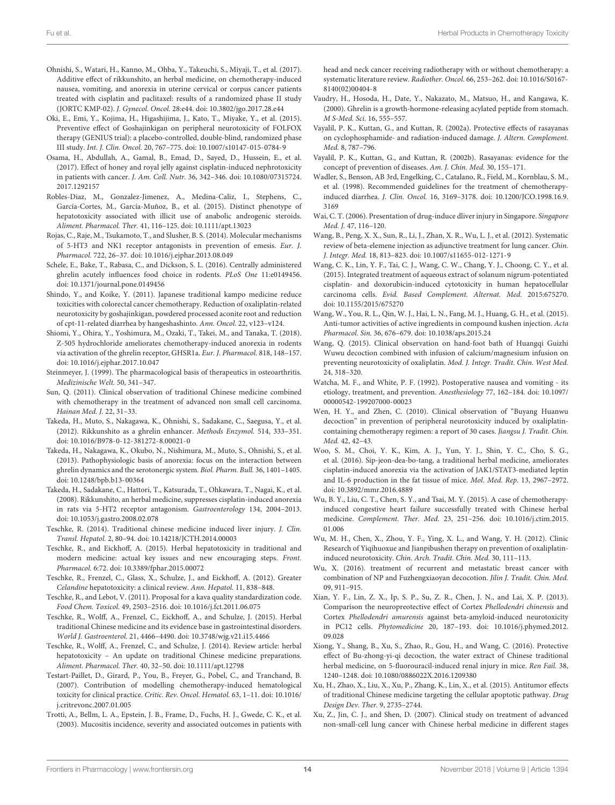- <span id="page-13-14"></span>Ohnishi, S., Watari, H., Kanno, M., Ohba, Y., Takeuchi, S., Miyaji, T., et al. (2017). Additive effect of rikkunshito, an herbal medicine, on chemotherapy-induced nausea, vomiting, and anorexia in uterine cervical or corpus cancer patients treated with cisplatin and paclitaxel: results of a randomized phase II study (JORTC KMP-02). J. Gynecol. Oncol. 28:e44. [doi: 10.3802/jgo.2017.28.e44](https://doi.org/10.3802/jgo.2017.28.e44)
- <span id="page-13-2"></span>Oki, E., Emi, Y., Kojima, H., Higashijima, J., Kato, T., Miyake, Y., et al. (2015). Preventive effect of Goshajinkigan on peripheral neurotoxicity of FOLFOX therapy (GENIUS trial): a placebo-controlled, double-blind, randomized phase III study. Int. J. Clin. Oncol. 20, 767–775. [doi: 10.1007/s10147-015-0784-9](https://doi.org/10.1007/s10147-015-0784-9)
- <span id="page-13-34"></span>Osama, H., Abdullah, A., Gamal, B., Emad, D., Sayed, D., Hussein, E., et al. (2017). Effect of honey and royal jelly against cisplatin-induced nephrotoxicity in patients with cancer. J. Am. Coll. Nutr. 36, 342–346. [doi: 10.1080/07315724.](https://doi.org/10.1080/07315724.2017.1292157) [2017.1292157](https://doi.org/10.1080/07315724.2017.1292157)
- <span id="page-13-36"></span>Robles-Diaz, M., Gonzalez-Jimenez, A., Medina-Caliz, I., Stephens, C., García-Cortes, M., García-Muñoz, B., et al. (2015). Distinct phenotype of hepatotoxicity associated with illicit use of anabolic androgenic steroids. Aliment. Pharmacol. Ther. 41, 116–125. [doi: 10.1111/apt.13023](https://doi.org/10.1111/apt.13023)
- <span id="page-13-7"></span>Rojas, C., Raje, M., Tsukamoto, T., and Slusher, B. S. (2014). Molecular mechanisms of 5-HT3 and NK1 receptor antagonists in prevention of emesis. Eur. J. Pharmacol. 722, 26–37. [doi: 10.1016/j.ejphar.2013.08.049](https://doi.org/10.1016/j.ejphar.2013.08.049)
- <span id="page-13-10"></span>Schele, E., Bake, T., Rabasa, C., and Dickson, S. L. (2016). Centrally administered ghrelin acutely influences food choice in rodents. PLoS One 11:e0149456. [doi: 10.1371/journal.pone.0149456](https://doi.org/10.1371/journal.pone.0149456)
- <span id="page-13-19"></span>Shindo, Y., and Koike, Y. (2011). Japanese traditional kampo medicine reduce toxicities with colorectal cancer chemotherapy. Reduction of oxaliplatin-related neurotoxicity by goshajinkigan, powdered processed aconite root and reduction of cpt-11-related diarrhea by hangeshashinto. Ann. Oncol. 22, v123–v124.
- <span id="page-13-11"></span>Shiomi, Y., Ohira, Y., Yoshimura, M., Ozaki, T., Takei, M., and Tanaka, T. (2018). Z-505 hydrochloride ameliorates chemotherapy-induced anorexia in rodents via activation of the ghrelin receptor, GHSR1a. Eur. J. Pharmacol. 818, 148–157. [doi: 10.1016/j.ejphar.2017.10.047](https://doi.org/10.1016/j.ejphar.2017.10.047)
- <span id="page-13-0"></span>Steinmeyer, J. (1999). The pharmacological basis of therapeutics in osteoarthritis. Medizinische Welt. 50, 341–347.
- <span id="page-13-24"></span>Sun, Q. (2011). Clinical observation of traditional Chinese medicine combined with chemotherapy in the treatment of advanced non small cell carcinoma. Hainan Med. J. 22, 31–33.
- <span id="page-13-8"></span>Takeda, H., Muto, S., Nakagawa, K., Ohnishi, S., Sadakane, C., Saegusa, Y., et al. (2012). Rikkunshito as a ghrelin enhancer. Methods Enzymol. 514, 333–351. [doi: 10.1016/B978-0-12-381272-8.00021-0](https://doi.org/10.1016/B978-0-12-381272-8.00021-0)
- <span id="page-13-12"></span>Takeda, H., Nakagawa, K., Okubo, N., Nishimura, M., Muto, S., Ohnishi, S., et al. (2013). Pathophysiologic basis of anorexia: focus on the interaction between ghrelin dynamics and the serotonergic system. Biol. Pharm. Bull. 36, 1401–1405. [doi: 10.1248/bpb.b13-00364](https://doi.org/10.1248/bpb.b13-00364)
- <span id="page-13-13"></span>Takeda, H., Sadakane, C., Hattori, T., Katsurada, T., Ohkawara, T., Nagai, K., et al. (2008). Rikkunshito, an herbal medicine, suppresses cisplatin-induced anorexia in rats via 5-HT2 receptor antagonism. Gastroenterology 134, 2004–2013. [doi: 10.1053/j.gastro.2008.02.078](https://doi.org/10.1053/j.gastro.2008.02.078)
- <span id="page-13-31"></span>Teschke, R. (2014). Traditional chinese medicine induced liver injury. J. Clin. Transl. Hepatol. 2, 80–94. [doi: 10.14218/JCTH.2014.00003](https://doi.org/10.14218/JCTH.2014.00003)
- <span id="page-13-32"></span>Teschke, R., and Eickhoff, A. (2015). Herbal hepatotoxicity in traditional and modern medicine: actual key issues and new encouraging steps. Front. Pharmacol. 6:72. [doi: 10.3389/fphar.2015.00072](https://doi.org/10.3389/fphar.2015.00072)
- <span id="page-13-37"></span>Teschke, R., Frenzel, C., Glass, X., Schulze, J., and Eickhoff, A. (2012). Greater Celandine hepatotoxicity: a clinical review. Ann. Hepatol. 11, 838–848.
- <span id="page-13-38"></span>Teschke, R., and Lebot, V. (2011). Proposal for a kava quality standardization code. Food Chem. Toxicol. 49, 2503–2516. [doi: 10.1016/j.fct.2011.06.075](https://doi.org/10.1016/j.fct.2011.06.075)
- <span id="page-13-22"></span>Teschke, R., Wolff, A., Frenzel, C., Eickhoff, A., and Schulze, J. (2015). Herbal traditional Chinese medicine and its evidence base in gastrointestinal disorders. World J. Gastroenterol. 21, 4466–4490. [doi: 10.3748/wjg.v21.i15.4466](https://doi.org/10.3748/wjg.v21.i15.4466)
- <span id="page-13-39"></span>Teschke, R., Wolff, A., Frenzel, C., and Schulze, J. (2014). Review article: herbal hepatotoxicity – An update on traditional Chinese medicine preparations. Aliment. Pharmacol. Ther. 40, 32–50. [doi: 10.1111/apt.12798](https://doi.org/10.1111/apt.12798)
- <span id="page-13-21"></span>Testart-Paillet, D., Girard, P., You, B., Freyer, G., Pobel, C., and Tranchand, B. (2007). Contribution of modelling chemotherapy-induced hematological toxicity for clinical practice. Critic. Rev. Oncol. Hematol. 63, 1–11. [doi: 10.1016/](https://doi.org/10.1016/j.critrevonc.2007.01.005) [j.critrevonc.2007.01.005](https://doi.org/10.1016/j.critrevonc.2007.01.005)
- <span id="page-13-29"></span>Trotti, A., Bellm, L. A., Epstein, J. B., Frame, D., Fuchs, H. J., Gwede, C. K., et al. (2003). Mucositis incidence, severity and associated outcomes in patients with

head and neck cancer receiving radiotherapy with or without chemotherapy: a systematic literature review. Radiother. Oncol. 66, 253–262. [doi: 10.1016/S0167-](https://doi.org/10.1016/S0167-8140(02)00404-8) [8140\(02\)00404-8](https://doi.org/10.1016/S0167-8140(02)00404-8)

- <span id="page-13-9"></span>Vaudry, H., Hosoda, H., Date, Y., Nakazato, M., Matsuo, H., and Kangawa, K. (2000). Ghrelin is a growth-hormone-releasing acylated peptide from stomach. M S-Med. Sci. 16, 555–557.
- <span id="page-13-28"></span>Vayalil, P. K., Kuttan, G., and Kuttan, R. (2002a). Protective effects of rasayanas on cyclophosphamide- and radiation-induced damage. J. Altern. Complement. Med. 8, 787–796.
- <span id="page-13-27"></span>Vayalil, P. K., Kuttan, G., and Kuttan, R. (2002b). Rasayanas: evidence for the concept of prevention of diseases. Am. J. Chin. Med. 30, 155–171.
- <span id="page-13-18"></span>Wadler, S., Benson, AB 3rd, Engelking, C., Catalano, R., Field, M., Kornblau, S. M., et al. (1998). Recommended guidelines for the treatment of chemotherapyinduced diarrhea. J. Clin. Oncol. 16, 3169–3178. [doi: 10.1200/JCO.1998.16.9.](https://doi.org/10.1200/JCO.1998.16.9.3169) [3169](https://doi.org/10.1200/JCO.1998.16.9.3169)
- <span id="page-13-35"></span>Wai, C. T. (2006). Presentation of drug-induce dliver injury in Singapore. Singapore Med. J. 47, 116–120.
- <span id="page-13-23"></span>Wang, B., Peng, X. X., Sun, R., Li, J., Zhan, X. R., Wu, L. J., et al. (2012). Systematic review of beta-elemene injection as adjunctive treatment for lung cancer. Chin. J. Integr. Med. 18, 813–823. [doi: 10.1007/s11655-012-1271-9](https://doi.org/10.1007/s11655-012-1271-9)
- <span id="page-13-17"></span>Wang, C. K., Lin, Y. F., Tai, C. J., Wang, C. W., Chang, Y. J., Choong, C. Y., et al. (2015). Integrated treatment of aqueous extract of solanum nigrum-potentiated cisplatin- and doxorubicin-induced cytotoxicity in human hepatocellular carcinoma cells. Evid. Based Complement. Alternat. Med. 2015:675270. [doi: 10.1155/2015/675270](https://doi.org/10.1155/2015/675270)
- <span id="page-13-20"></span>Wang, W., You, R. L., Qin, W. J., Hai, L. N., Fang, M. J., Huang, G. H., et al. (2015). Anti-tumor activities of active ingredients in compound kushen injection. Acta Pharmacol. Sin. 36, 676–679. [doi: 10.1038/aps.2015.24](https://doi.org/10.1038/aps.2015.24)
- <span id="page-13-6"></span>Wang, Q. (2015). Clinical observation on hand-foot bath of Huangqi Guizhi Wuwu decoction combined with infusion of calcium/magnesium infusion on preventing neurotoxicity of oxaliplatin. Mod. J. Integr. Tradit. Chin. West Med. 24, 318–320.
- <span id="page-13-3"></span>Watcha, M. F., and White, P. F. (1992). Postoperative nausea and vomiting - its etiology, treatment, and prevention. Anesthesiology 77, 162–184. [doi: 10.1097/](https://doi.org/10.1097/00000542-199207000-00023) [00000542-199207000-00023](https://doi.org/10.1097/00000542-199207000-00023)
- <span id="page-13-5"></span>Wen, H. Y., and Zhen, C. (2010). Clinical observation of "Buyang Huanwu decoction" in prevention of peripheral neurotoxicity induced by oxaliplatincontaining chemotherapy regimen: a report of 30 cases. Jiangsu J. Tradit. Chin. Med. 42, 42–43.
- <span id="page-13-15"></span>Woo, S. M., Choi, Y. K., Kim, A. J., Yun, Y. J., Shin, Y. C., Cho, S. G., et al. (2016). Sip-jeon-dea-bo-tang, a traditional herbal medicine, ameliorates cisplatin-induced anorexia via the activation of JAK1/STAT3-mediated leptin and IL-6 production in the fat tissue of mice. Mol. Med. Rep. 13, 2967–2972. [doi: 10.3892/mmr.2016.4889](https://doi.org/10.3892/mmr.2016.4889)
- <span id="page-13-30"></span>Wu, B. Y., Liu, C. T., Chen, S. Y., and Tsai, M. Y. (2015). A case of chemotherapyinduced congestive heart failure successfully treated with Chinese herbal medicine. Complement. Ther. Med. 23, 251–256. [doi: 10.1016/j.ctim.2015.](https://doi.org/10.1016/j.ctim.2015.01.006) [01.006](https://doi.org/10.1016/j.ctim.2015.01.006)
- <span id="page-13-4"></span>Wu, M. H., Chen, X., Zhou, Y. F., Ying, X. L., and Wang, Y. H. (2012). Clinic Research of Yiqihuoxue and Jianpibushen therapy on prevention of oxaliplatininduced neurotoxicity. Chin. Arch. Tradit. Chin. Med. 30, 111–113.
- <span id="page-13-25"></span>Wu, X. (2016). treatment of recurrent and metastatic breast cancer with combination of NP and Fuzhengxiaoyan decocotion. Jilin J. Tradit. Chin. Med. 09, 911–915.
- <span id="page-13-1"></span>Xian, Y. F., Lin, Z. X., Ip, S. P., Su, Z. R., Chen, J. N., and Lai, X. P. (2013). Comparison the neuropreotective effect of Cortex Phellodendri chinensis and Cortex Phellodendri amurensis against beta-amyloid-induced neurotoxicity in PC12 cells. Phytomedicine 20, 187–193. [doi: 10.1016/j.phymed.2012.](https://doi.org/10.1016/j.phymed.2012.09.028) [09.028](https://doi.org/10.1016/j.phymed.2012.09.028)
- <span id="page-13-33"></span>Xiong, Y., Shang, B., Xu, S., Zhao, R., Gou, H., and Wang, C. (2016). Protective effect of Bu-zhong-yi-qi decoction, the water extract of Chinese traditional herbal medicine, on 5-fluorouracil-induced renal injury in mice. Ren Fail. 38, 1240–1248. [doi: 10.1080/0886022X.2016.1209380](https://doi.org/10.1080/0886022X.2016.1209380)
- <span id="page-13-16"></span>Xu, H., Zhao, X., Liu, X., Xu, P., Zhang, K., Lin, X., et al. (2015). Antitumor effects of traditional Chinese medicine targeting the cellular apoptotic pathway. Drug Design Dev. Ther. 9, 2735–2744.
- <span id="page-13-26"></span>Xu, Z., Jin, C. J., and Shen, D. (2007). Clinical study on treatment of advanced non-small-cell lung cancer with Chinese herbal medicine in different stages